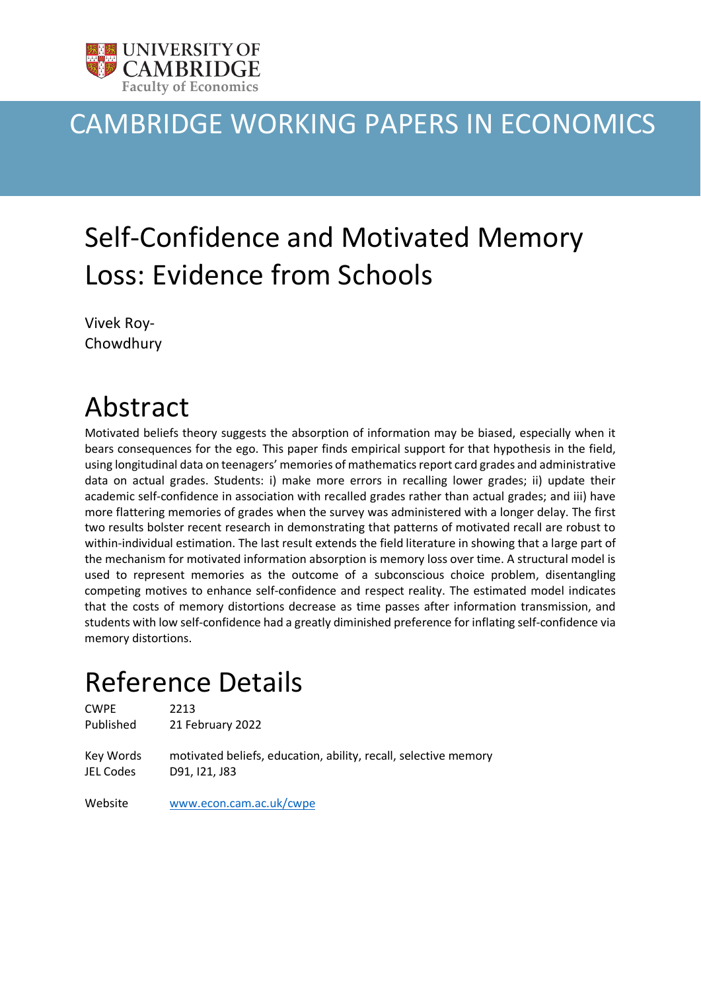

# CAMBRIDGE WORKING PAPERS IN ECONOMICS

# Self-Confidence and Motivated Memory Loss: Evidence from Schools

Vivek Roy-Chowdhury

# Abstract

Motivated beliefs theory suggests the absorption of information may be biased, especially when it bears consequences for the ego. This paper finds empirical support for that hypothesis in the field, using longitudinal data on teenagers' memories of mathematics report card grades and administrative data on actual grades. Students: i) make more errors in recalling lower grades; ii) update their academic self-confidence in association with recalled grades rather than actual grades; and iii) have more flattering memories of grades when the survey was administered with a longer delay. The first two results bolster recent research in demonstrating that patterns of motivated recall are robust to within-individual estimation. The last result extends the field literature in showing that a large part of the mechanism for motivated information absorption is memory loss over time. A structural model is used to represent memories as the outcome of a subconscious choice problem, disentangling competing motives to enhance self-confidence and respect reality. The estimated model indicates that the costs of memory distortions decrease as time passes after information transmission, and students with low self-confidence had a greatly diminished preference for inflating self-confidence via memory distortions.

# Reference Details

CWPE 2213 Published 21 February 2022

Key Words motivated beliefs, education, ability, recall, selective memory JEL Codes D91, I21, J83

Website [www.econ.cam.ac.uk/cwpe](http://www.econ.cam.ac.uk/cwpe)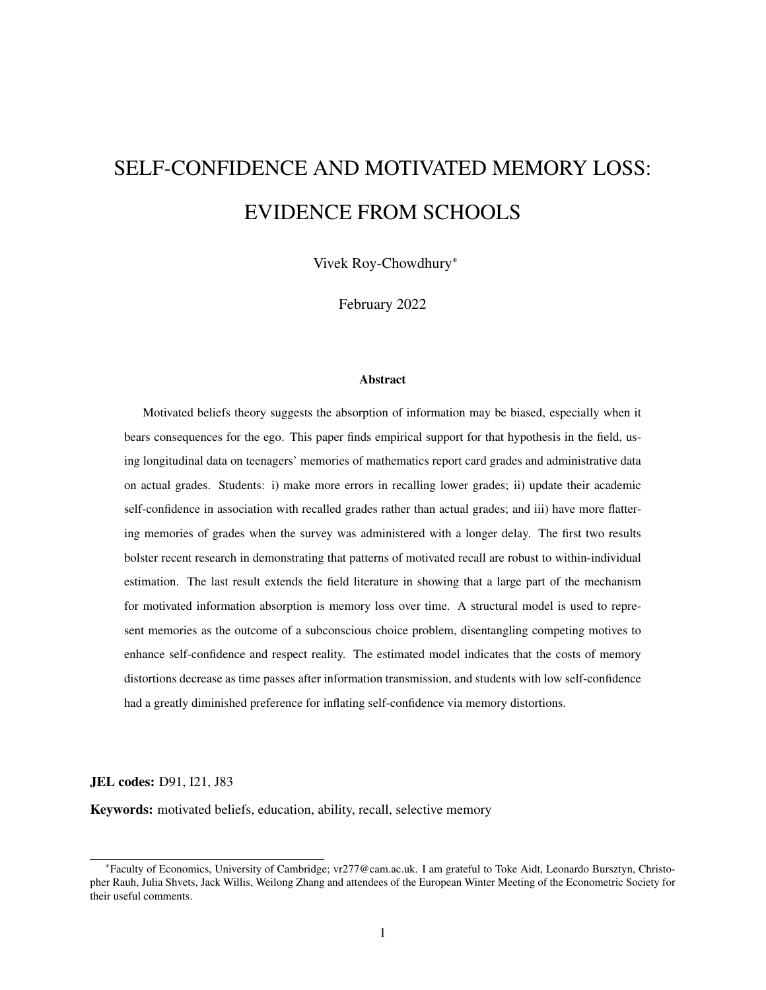# SELF-CONFIDENCE AND MOTIVATED MEMORY LOSS: EVIDENCE FROM SCHOOLS

Vivek Roy-Chowdhury\*

February 2022

#### Abstract

Motivated beliefs theory suggests the absorption of information may be biased, especially when it bears consequences for the ego. This paper finds empirical support for that hypothesis in the field, using longitudinal data on teenagers' memories of mathematics report card grades and administrative data on actual grades. Students: i) make more errors in recalling lower grades; ii) update their academic self-confidence in association with recalled grades rather than actual grades; and iii) have more flattering memories of grades when the survey was administered with a longer delay. The first two results bolster recent research in demonstrating that patterns of motivated recall are robust to within-individual estimation. The last result extends the field literature in showing that a large part of the mechanism for motivated information absorption is memory loss over time. A structural model is used to represent memories as the outcome of a subconscious choice problem, disentangling competing motives to enhance self-confidence and respect reality. The estimated model indicates that the costs of memory distortions decrease as time passes after information transmission, and students with low self-confidence had a greatly diminished preference for inflating self-confidence via memory distortions.

JEL codes: D91, I21, J83

Keywords: motivated beliefs, education, ability, recall, selective memory

<sup>\*</sup>Faculty of Economics, University of Cambridge; [vr277@cam.ac.uk.](mailto:vr277@cam.ac.uk) I am grateful to Toke Aidt, Leonardo Bursztyn, Christopher Rauh, Julia Shvets, Jack Willis, Weilong Zhang and attendees of the European Winter Meeting of the Econometric Society for their useful comments.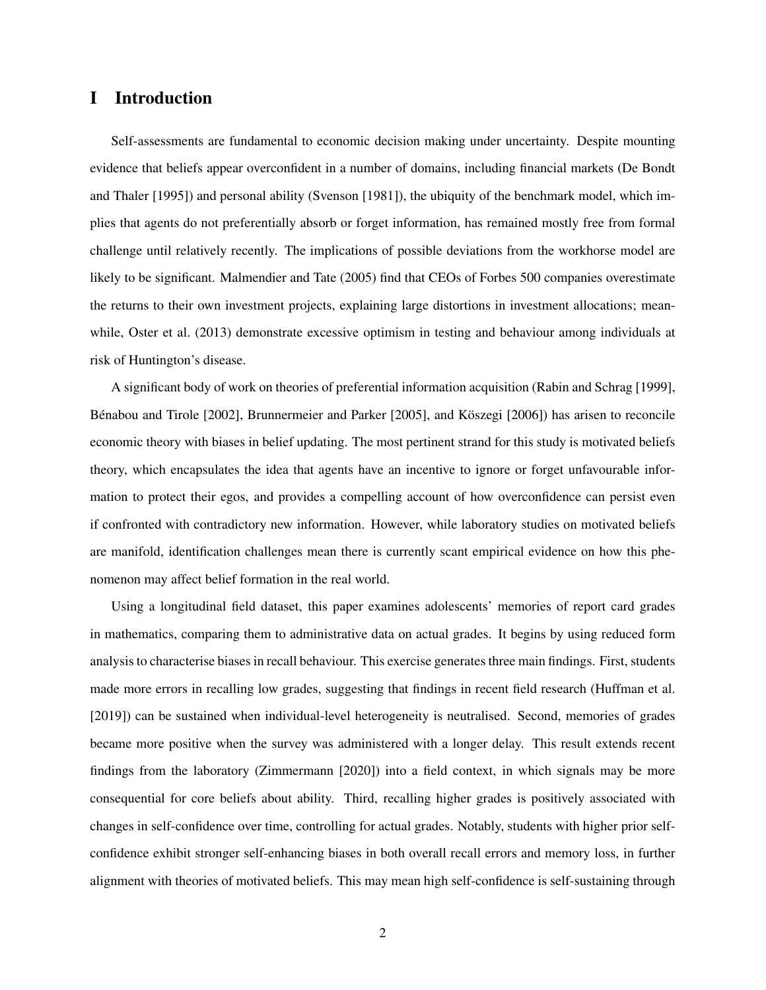### I Introduction

Self-assessments are fundamental to economic decision making under uncertainty. Despite mounting evidence that beliefs appear overconfident in a number of domains, including financial markets (De Bondt and Thaler [\[1995\]](#page-38-0)) and personal ability (Svenson [\[1981\]](#page-39-0)), the ubiquity of the benchmark model, which implies that agents do not preferentially absorb or forget information, has remained mostly free from formal challenge until relatively recently. The implications of possible deviations from the workhorse model are likely to be significant. Malmendier and Tate [\(2005\)](#page-39-1) find that CEOs of Forbes 500 companies overestimate the returns to their own investment projects, explaining large distortions in investment allocations; meanwhile, Oster et al. [\(2013\)](#page-39-2) demonstrate excessive optimism in testing and behaviour among individuals at risk of Huntington's disease.

A significant body of work on theories of preferential information acquisition (Rabin and Schrag [\[1999\]](#page-39-3), Bénabou and Tirole [\[2002\]](#page-37-0), Brunnermeier and Parker [\[2005\]](#page-37-1), and Köszegi [\[2006\]](#page-38-1)) has arisen to reconcile economic theory with biases in belief updating. The most pertinent strand for this study is motivated beliefs theory, which encapsulates the idea that agents have an incentive to ignore or forget unfavourable information to protect their egos, and provides a compelling account of how overconfidence can persist even if confronted with contradictory new information. However, while laboratory studies on motivated beliefs are manifold, identification challenges mean there is currently scant empirical evidence on how this phenomenon may affect belief formation in the real world.

Using a longitudinal field dataset, this paper examines adolescents' memories of report card grades in mathematics, comparing them to administrative data on actual grades. It begins by using reduced form analysis to characterise biases in recall behaviour. This exercise generates three main findings. First, students made more errors in recalling low grades, suggesting that findings in recent field research (Huffman et al. [\[2019\]](#page-38-2)) can be sustained when individual-level heterogeneity is neutralised. Second, memories of grades became more positive when the survey was administered with a longer delay. This result extends recent findings from the laboratory (Zimmermann [\[2020\]](#page-39-4)) into a field context, in which signals may be more consequential for core beliefs about ability. Third, recalling higher grades is positively associated with changes in self-confidence over time, controlling for actual grades. Notably, students with higher prior selfconfidence exhibit stronger self-enhancing biases in both overall recall errors and memory loss, in further alignment with theories of motivated beliefs. This may mean high self-confidence is self-sustaining through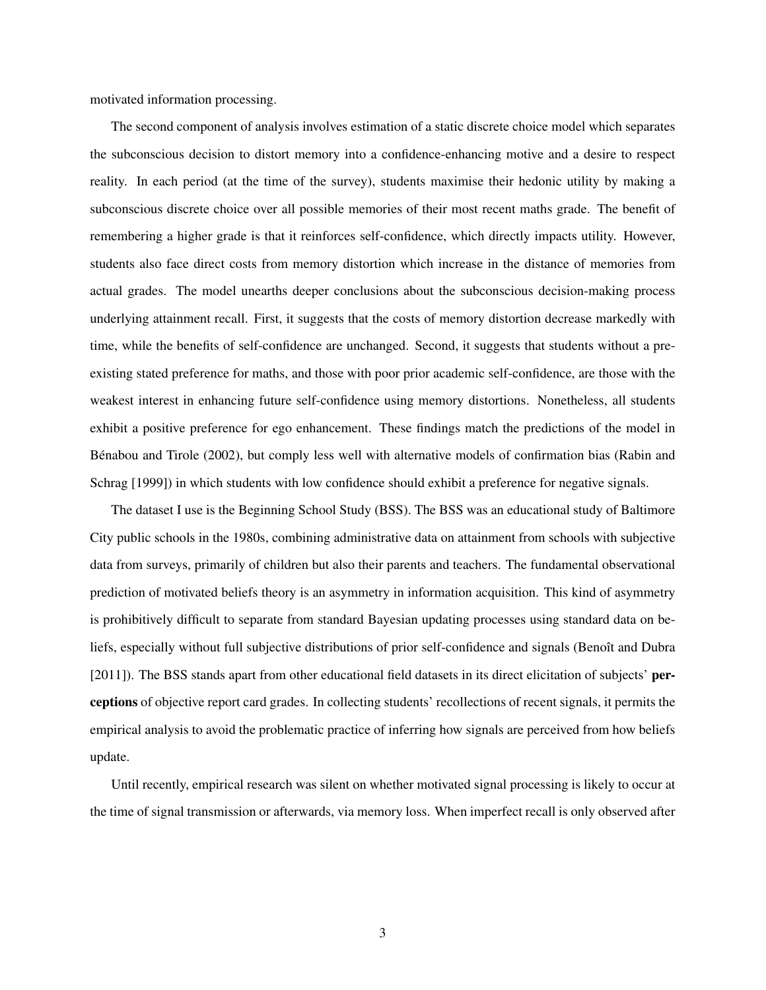motivated information processing.

The second component of analysis involves estimation of a static discrete choice model which separates the subconscious decision to distort memory into a confidence-enhancing motive and a desire to respect reality. In each period (at the time of the survey), students maximise their hedonic utility by making a subconscious discrete choice over all possible memories of their most recent maths grade. The benefit of remembering a higher grade is that it reinforces self-confidence, which directly impacts utility. However, students also face direct costs from memory distortion which increase in the distance of memories from actual grades. The model unearths deeper conclusions about the subconscious decision-making process underlying attainment recall. First, it suggests that the costs of memory distortion decrease markedly with time, while the benefits of self-confidence are unchanged. Second, it suggests that students without a preexisting stated preference for maths, and those with poor prior academic self-confidence, are those with the weakest interest in enhancing future self-confidence using memory distortions. Nonetheless, all students exhibit a positive preference for ego enhancement. These findings match the predictions of the model in Benabou and Tirole [\(2002\)](#page-37-0), but comply less well with alternative models of confirmation bias (Rabin and ´ Schrag [\[1999\]](#page-39-3)) in which students with low confidence should exhibit a preference for negative signals.

The dataset I use is the Beginning School Study (BSS). The BSS was an educational study of Baltimore City public schools in the 1980s, combining administrative data on attainment from schools with subjective data from surveys, primarily of children but also their parents and teachers. The fundamental observational prediction of motivated beliefs theory is an asymmetry in information acquisition. This kind of asymmetry is prohibitively difficult to separate from standard Bayesian updating processes using standard data on beliefs, especially without full subjective distributions of prior self-confidence and signals (Benoît and Dubra [\[2011\]](#page-37-2)). The BSS stands apart from other educational field datasets in its direct elicitation of subjects' perceptions of objective report card grades. In collecting students' recollections of recent signals, it permits the empirical analysis to avoid the problematic practice of inferring how signals are perceived from how beliefs update.

Until recently, empirical research was silent on whether motivated signal processing is likely to occur at the time of signal transmission or afterwards, via memory loss. When imperfect recall is only observed after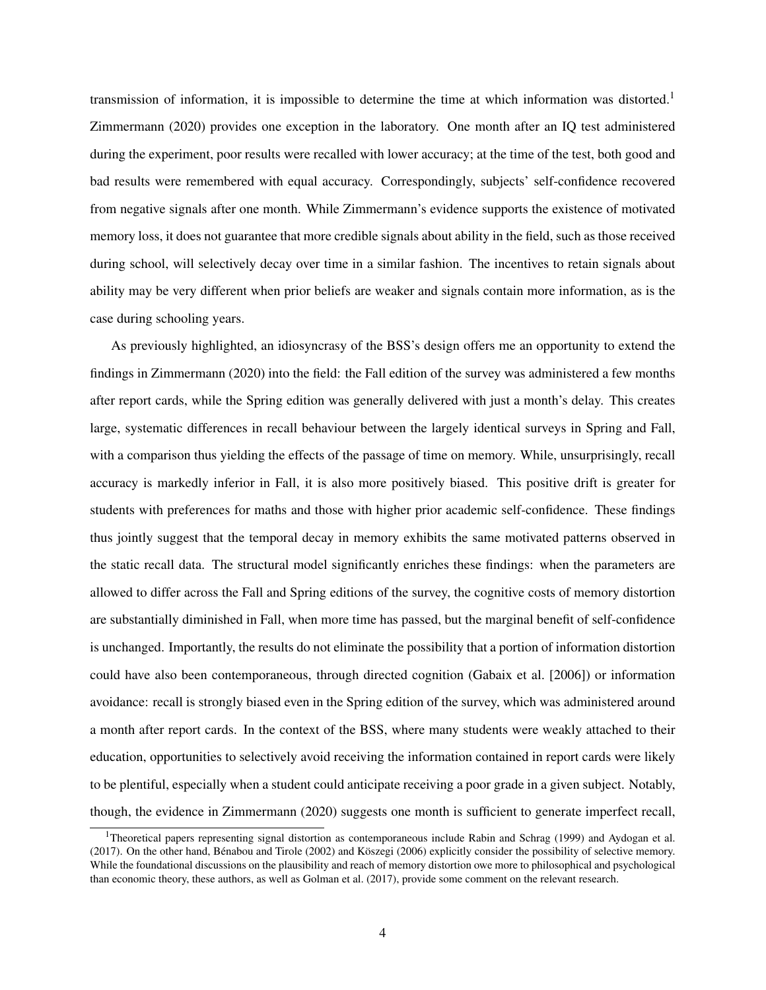transmission of information, it is impossible to determine the time at which information was distorted.<sup>1</sup> Zimmermann [\(2020\)](#page-39-4) provides one exception in the laboratory. One month after an IQ test administered during the experiment, poor results were recalled with lower accuracy; at the time of the test, both good and bad results were remembered with equal accuracy. Correspondingly, subjects' self-confidence recovered from negative signals after one month. While Zimmermann's evidence supports the existence of motivated memory loss, it does not guarantee that more credible signals about ability in the field, such as those received during school, will selectively decay over time in a similar fashion. The incentives to retain signals about ability may be very different when prior beliefs are weaker and signals contain more information, as is the case during schooling years.

As previously highlighted, an idiosyncrasy of the BSS's design offers me an opportunity to extend the findings in Zimmermann [\(2020\)](#page-39-4) into the field: the Fall edition of the survey was administered a few months after report cards, while the Spring edition was generally delivered with just a month's delay. This creates large, systematic differences in recall behaviour between the largely identical surveys in Spring and Fall, with a comparison thus yielding the effects of the passage of time on memory. While, unsurprisingly, recall accuracy is markedly inferior in Fall, it is also more positively biased. This positive drift is greater for students with preferences for maths and those with higher prior academic self-confidence. These findings thus jointly suggest that the temporal decay in memory exhibits the same motivated patterns observed in the static recall data. The structural model significantly enriches these findings: when the parameters are allowed to differ across the Fall and Spring editions of the survey, the cognitive costs of memory distortion are substantially diminished in Fall, when more time has passed, but the marginal benefit of self-confidence is unchanged. Importantly, the results do not eliminate the possibility that a portion of information distortion could have also been contemporaneous, through directed cognition (Gabaix et al. [\[2006\]](#page-38-3)) or information avoidance: recall is strongly biased even in the Spring edition of the survey, which was administered around a month after report cards. In the context of the BSS, where many students were weakly attached to their education, opportunities to selectively avoid receiving the information contained in report cards were likely to be plentiful, especially when a student could anticipate receiving a poor grade in a given subject. Notably, though, the evidence in Zimmermann [\(2020\)](#page-39-4) suggests one month is sufficient to generate imperfect recall,

<sup>&</sup>lt;sup>1</sup>Theoretical papers representing signal distortion as contemporaneous include Rabin and Schrag [\(1999\)](#page-39-3) and Aydogan et al.  $(2017)$ . On the other hand, Bénabou and Tirole  $(2002)$  and Köszegi  $(2006)$  explicitly consider the possibility of selective memory. While the foundational discussions on the plausibility and reach of memory distortion owe more to philosophical and psychological than economic theory, these authors, as well as Golman et al. [\(2017\)](#page-38-4), provide some comment on the relevant research.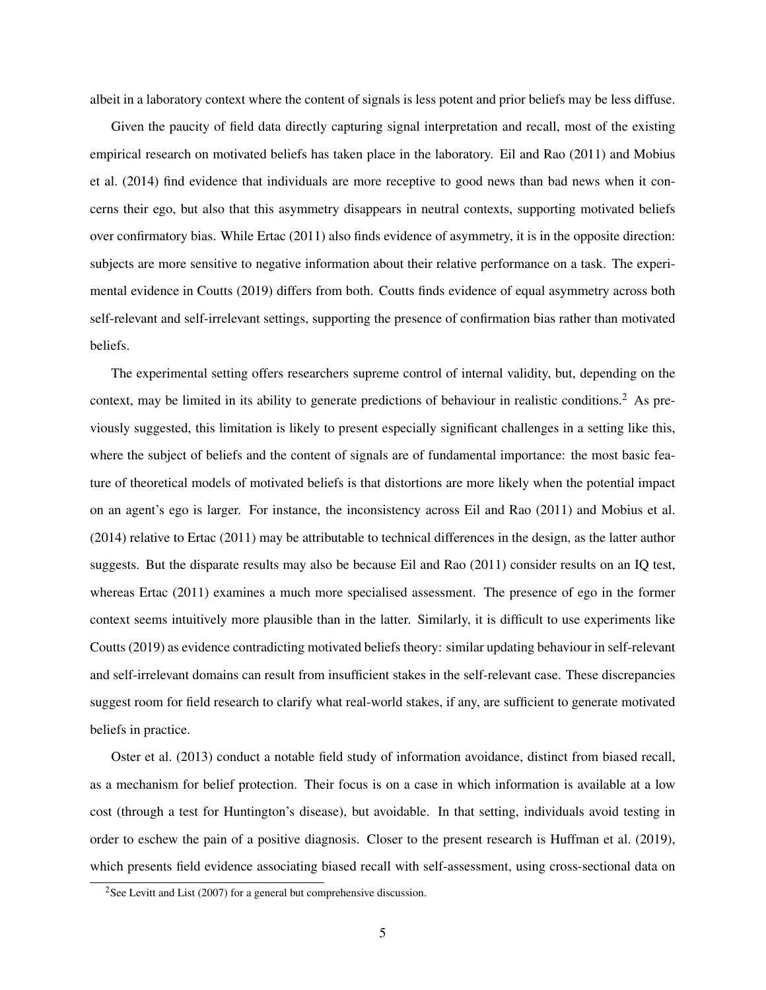albeit in a laboratory context where the content of signals is less potent and prior beliefs may be less diffuse.

Given the paucity of field data directly capturing signal interpretation and recall, most of the existing empirical research on motivated beliefs has taken place in the laboratory. Eil and Rao [\(2011\)](#page-38-5) and Mobius et al. [\(2014\)](#page-39-5) find evidence that individuals are more receptive to good news than bad news when it concerns their ego, but also that this asymmetry disappears in neutral contexts, supporting motivated beliefs over confirmatory bias. While Ertac [\(2011\)](#page-38-6) also finds evidence of asymmetry, it is in the opposite direction: subjects are more sensitive to negative information about their relative performance on a task. The experimental evidence in Coutts [\(2019\)](#page-37-4) differs from both. Coutts finds evidence of equal asymmetry across both self-relevant and self-irrelevant settings, supporting the presence of confirmation bias rather than motivated beliefs.

The experimental setting offers researchers supreme control of internal validity, but, depending on the context, may be limited in its ability to generate predictions of behaviour in realistic conditions.<sup>2</sup> As previously suggested, this limitation is likely to present especially significant challenges in a setting like this, where the subject of beliefs and the content of signals are of fundamental importance: the most basic feature of theoretical models of motivated beliefs is that distortions are more likely when the potential impact on an agent's ego is larger. For instance, the inconsistency across Eil and Rao [\(2011\)](#page-38-5) and Mobius et al. [\(2014\)](#page-39-5) relative to Ertac [\(2011\)](#page-38-6) may be attributable to technical differences in the design, as the latter author suggests. But the disparate results may also be because Eil and Rao [\(2011\)](#page-38-5) consider results on an IQ test, whereas Ertac [\(2011\)](#page-38-6) examines a much more specialised assessment. The presence of ego in the former context seems intuitively more plausible than in the latter. Similarly, it is difficult to use experiments like Coutts [\(2019\)](#page-37-4) as evidence contradicting motivated beliefs theory: similar updating behaviour in self-relevant and self-irrelevant domains can result from insufficient stakes in the self-relevant case. These discrepancies suggest room for field research to clarify what real-world stakes, if any, are sufficient to generate motivated beliefs in practice.

Oster et al. [\(2013\)](#page-39-2) conduct a notable field study of information avoidance, distinct from biased recall, as a mechanism for belief protection. Their focus is on a case in which information is available at a low cost (through a test for Huntington's disease), but avoidable. In that setting, individuals avoid testing in order to eschew the pain of a positive diagnosis. Closer to the present research is Huffman et al. [\(2019\)](#page-38-2), which presents field evidence associating biased recall with self-assessment, using cross-sectional data on

<sup>&</sup>lt;sup>2</sup>See Levitt and List [\(2007\)](#page-39-6) for a general but comprehensive discussion.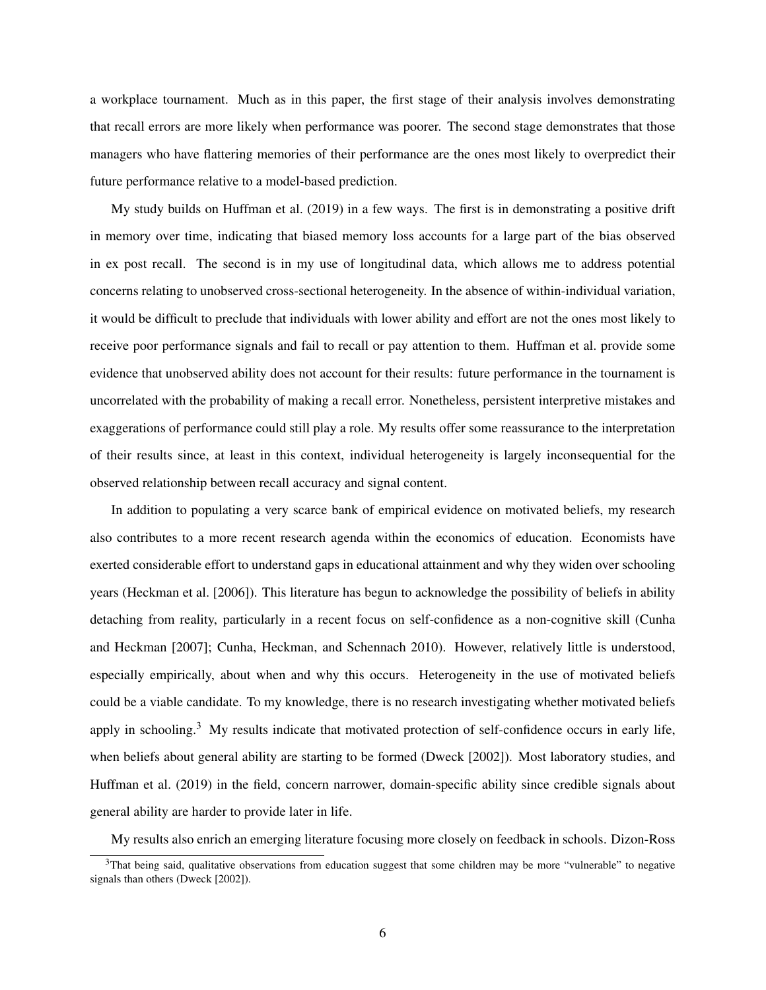a workplace tournament. Much as in this paper, the first stage of their analysis involves demonstrating that recall errors are more likely when performance was poorer. The second stage demonstrates that those managers who have flattering memories of their performance are the ones most likely to overpredict their future performance relative to a model-based prediction.

My study builds on Huffman et al. [\(2019\)](#page-38-2) in a few ways. The first is in demonstrating a positive drift in memory over time, indicating that biased memory loss accounts for a large part of the bias observed in ex post recall. The second is in my use of longitudinal data, which allows me to address potential concerns relating to unobserved cross-sectional heterogeneity. In the absence of within-individual variation, it would be difficult to preclude that individuals with lower ability and effort are not the ones most likely to receive poor performance signals and fail to recall or pay attention to them. Huffman et al. provide some evidence that unobserved ability does not account for their results: future performance in the tournament is uncorrelated with the probability of making a recall error. Nonetheless, persistent interpretive mistakes and exaggerations of performance could still play a role. My results offer some reassurance to the interpretation of their results since, at least in this context, individual heterogeneity is largely inconsequential for the observed relationship between recall accuracy and signal content.

In addition to populating a very scarce bank of empirical evidence on motivated beliefs, my research also contributes to a more recent research agenda within the economics of education. Economists have exerted considerable effort to understand gaps in educational attainment and why they widen over schooling years (Heckman et al. [\[2006\]](#page-38-7)). This literature has begun to acknowledge the possibility of beliefs in ability detaching from reality, particularly in a recent focus on self-confidence as a non-cognitive skill (Cunha and Heckman [\[2007\]](#page-37-5); Cunha, Heckman, and Schennach [2010\)](#page-37-6). However, relatively little is understood, especially empirically, about when and why this occurs. Heterogeneity in the use of motivated beliefs could be a viable candidate. To my knowledge, there is no research investigating whether motivated beliefs apply in schooling.<sup>3</sup> My results indicate that motivated protection of self-confidence occurs in early life, when beliefs about general ability are starting to be formed (Dweck [\[2002\]](#page-38-8)). Most laboratory studies, and Huffman et al. [\(2019\)](#page-38-2) in the field, concern narrower, domain-specific ability since credible signals about general ability are harder to provide later in life.

My results also enrich an emerging literature focusing more closely on feedback in schools. Dizon-Ross

<sup>&</sup>lt;sup>3</sup>That being said, qualitative observations from education suggest that some children may be more "vulnerable" to negative signals than others (Dweck [\[2002\]](#page-38-8)).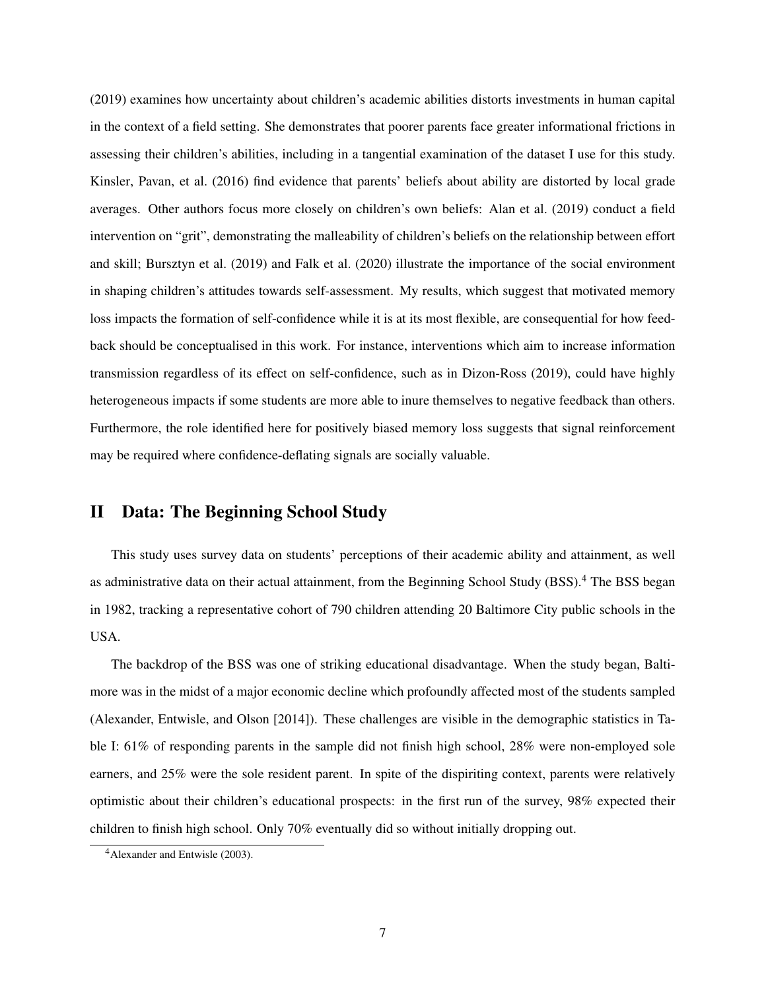[\(2019\)](#page-38-9) examines how uncertainty about children's academic abilities distorts investments in human capital in the context of a field setting. She demonstrates that poorer parents face greater informational frictions in assessing their children's abilities, including in a tangential examination of the dataset I use for this study. Kinsler, Pavan, et al. [\(2016\)](#page-38-10) find evidence that parents' beliefs about ability are distorted by local grade averages. Other authors focus more closely on children's own beliefs: Alan et al. [\(2019\)](#page-37-7) conduct a field intervention on "grit", demonstrating the malleability of children's beliefs on the relationship between effort and skill; Bursztyn et al. [\(2019\)](#page-37-8) and Falk et al. [\(2020\)](#page-38-11) illustrate the importance of the social environment in shaping children's attitudes towards self-assessment. My results, which suggest that motivated memory loss impacts the formation of self-confidence while it is at its most flexible, are consequential for how feedback should be conceptualised in this work. For instance, interventions which aim to increase information transmission regardless of its effect on self-confidence, such as in Dizon-Ross [\(2019\)](#page-38-9), could have highly heterogeneous impacts if some students are more able to inure themselves to negative feedback than others. Furthermore, the role identified here for positively biased memory loss suggests that signal reinforcement may be required where confidence-deflating signals are socially valuable.

## II Data: The Beginning School Study

This study uses survey data on students' perceptions of their academic ability and attainment, as well as administrative data on their actual attainment, from the Beginning School Study (BSS).<sup>4</sup> The BSS began in 1982, tracking a representative cohort of 790 children attending 20 Baltimore City public schools in the USA.

The backdrop of the BSS was one of striking educational disadvantage. When the study began, Baltimore was in the midst of a major economic decline which profoundly affected most of the students sampled (Alexander, Entwisle, and Olson [\[2014\]](#page-37-9)). These challenges are visible in the demographic statistics in [Ta](#page-8-0)[ble I:](#page-8-0) 61% of responding parents in the sample did not finish high school, 28% were non-employed sole earners, and 25% were the sole resident parent. In spite of the dispiriting context, parents were relatively optimistic about their children's educational prospects: in the first run of the survey, 98% expected their children to finish high school. Only 70% eventually did so without initially dropping out.

<sup>4</sup>Alexander and Entwisle [\(2003\)](#page-37-10).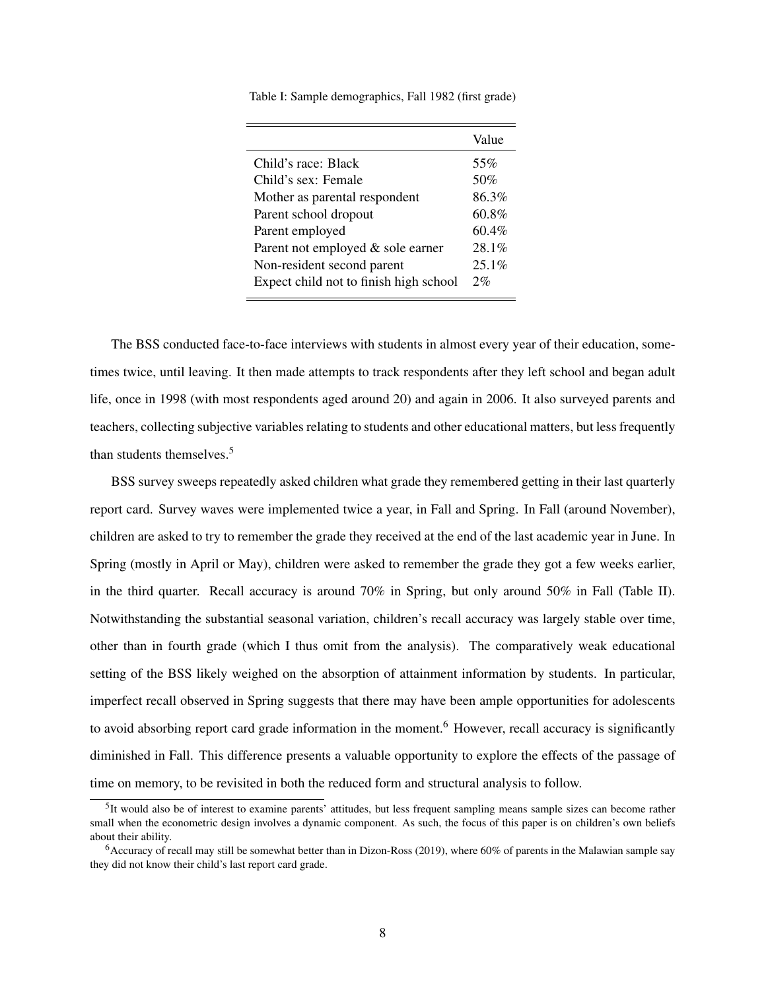<span id="page-8-0"></span>Table I: Sample demographics, Fall 1982 (first grade)

|                                        | Value    |
|----------------------------------------|----------|
| Child's race: Black                    | 55%      |
| Child's sex: Female                    | 50%      |
| Mother as parental respondent          | 86.3%    |
| Parent school dropout                  | $60.8\%$ |
| Parent employed                        | $60.4\%$ |
| Parent not employed & sole earner      | 28.1%    |
| Non-resident second parent             | $25.1\%$ |
| Expect child not to finish high school | 2%       |
|                                        |          |

The BSS conducted face-to-face interviews with students in almost every year of their education, sometimes twice, until leaving. It then made attempts to track respondents after they left school and began adult life, once in 1998 (with most respondents aged around 20) and again in 2006. It also surveyed parents and teachers, collecting subjective variables relating to students and other educational matters, but less frequently than students themselves.<sup>5</sup>

BSS survey sweeps repeatedly asked children what grade they remembered getting in their last quarterly report card. Survey waves were implemented twice a year, in Fall and Spring. In Fall (around November), children are asked to try to remember the grade they received at the end of the last academic year in June. In Spring (mostly in April or May), children were asked to remember the grade they got a few weeks earlier, in the third quarter. Recall accuracy is around 70% in Spring, but only around 50% in Fall [\(Table II\)](#page-9-0). Notwithstanding the substantial seasonal variation, children's recall accuracy was largely stable over time, other than in fourth grade (which I thus omit from the analysis). The comparatively weak educational setting of the BSS likely weighed on the absorption of attainment information by students. In particular, imperfect recall observed in Spring suggests that there may have been ample opportunities for adolescents to avoid absorbing report card grade information in the moment.<sup>6</sup> However, recall accuracy is significantly diminished in Fall. This difference presents a valuable opportunity to explore the effects of the passage of time on memory, to be revisited in both the reduced form and structural analysis to follow.

<sup>&</sup>lt;sup>5</sup>It would also be of interest to examine parents' attitudes, but less frequent sampling means sample sizes can become rather small when the econometric design involves a dynamic component. As such, the focus of this paper is on children's own beliefs about their ability.

 $6$ Accuracy of recall may still be somewhat better than in Dizon-Ross [\(2019\)](#page-38-9), where 60% of parents in the Malawian sample say they did not know their child's last report card grade.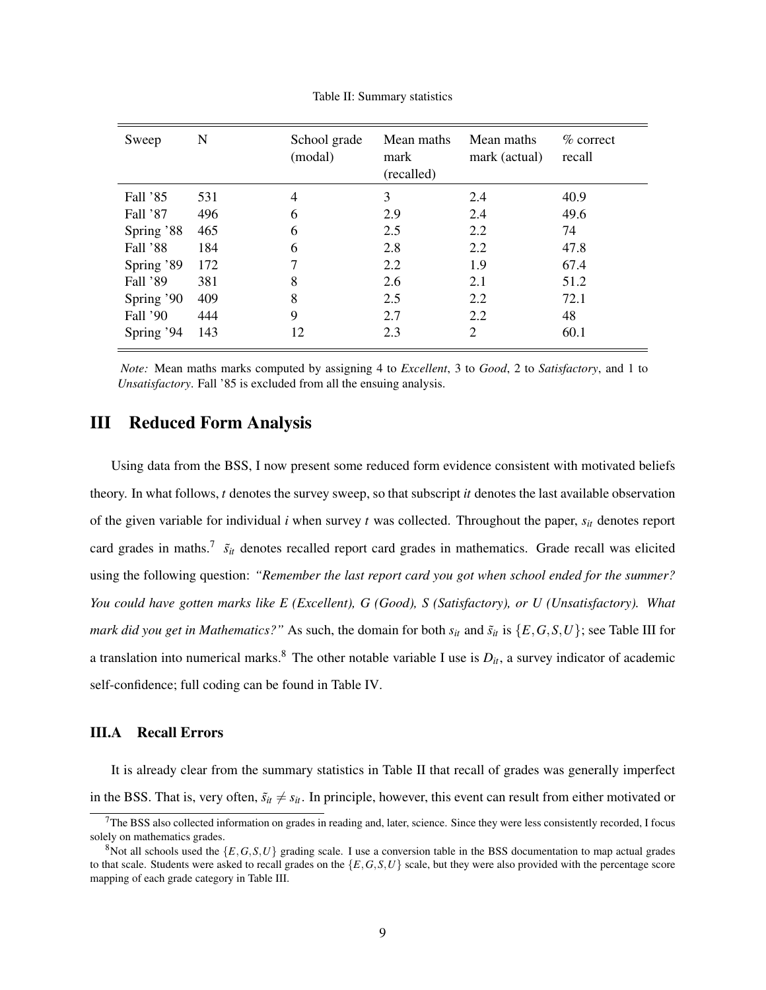<span id="page-9-0"></span>

| Sweep      | N   | School grade<br>(modal) | Mean maths<br>mark<br>(recalled) | Mean maths<br>mark (actual) | $\%$ correct<br>recall |
|------------|-----|-------------------------|----------------------------------|-----------------------------|------------------------|
| Fall '85   | 531 | 4                       | 3                                | 2.4                         | 40.9                   |
| Fall '87   | 496 | 6                       | 2.9                              | 2.4                         | 49.6                   |
| Spring '88 | 465 | 6                       | 2.5                              | 2.2                         | 74                     |
| Fall '88   | 184 | 6                       | 2.8                              | 2.2                         | 47.8                   |
| Spring '89 | 172 | 7                       | 2.2                              | 1.9                         | 67.4                   |
| Fall '89   | 381 | 8                       | 2.6                              | 2.1                         | 51.2                   |
| Spring '90 | 409 | 8                       | 2.5                              | 2.2                         | 72.1                   |
| Fall '90   | 444 | 9                       | 2.7                              | 2.2                         | 48                     |
| Spring '94 | 143 | 12                      | 2.3                              | $\overline{2}$              | 60.1                   |

Table II: Summary statistics

*Note:* Mean maths marks computed by assigning 4 to *Excellent*, 3 to *Good*, 2 to *Satisfactory*, and 1 to *Unsatisfactory*. Fall '85 is excluded from all the ensuing analysis.

### <span id="page-9-2"></span>III Reduced Form Analysis

Using data from the BSS, I now present some reduced form evidence consistent with motivated beliefs theory. In what follows, *t* denotes the survey sweep, so that subscript *it* denotes the last available observation of the given variable for individual *i* when survey *t* was collected. Throughout the paper,  $s_{it}$  denotes report card grades in maths.<sup>7</sup>  $\tilde{s}_{it}$  denotes recalled report card grades in mathematics. Grade recall was elicited using the following question: *"Remember the last report card you got when school ended for the summer? You could have gotten marks like E (Excellent), G (Good), S (Satisfactory), or U (Unsatisfactory). What mark did you get in Mathematics?"* As such, the domain for both  $s_{it}$  and  $\tilde{s}_{it}$  is  $\{E,G,S,U\}$ ; see [Table III](#page-10-0) for a translation into numerical marks.<sup>8</sup> The other notable variable I use is  $D_{it}$ , a survey indicator of academic self-confidence; full coding can be found in [Table IV.](#page-10-0)

#### <span id="page-9-1"></span>III.A Recall Errors

It is already clear from the summary statistics in [Table II](#page-9-0) that recall of grades was generally imperfect in the BSS. That is, very often,  $\tilde{s}_{it} \neq s_{it}$ . In principle, however, this event can result from either motivated or

 $7$ The BSS also collected information on grades in reading and, later, science. Since they were less consistently recorded, I focus solely on mathematics grades.

<sup>&</sup>lt;sup>8</sup>Not all schools used the  $\{E,G,S,U\}$  grading scale. I use a conversion table in the BSS documentation to map actual grades to that scale. Students were asked to recall grades on the  $\{E, G, S, U\}$  scale, but they were also provided with the percentage score mapping of each grade category in [Table III.](#page-10-0)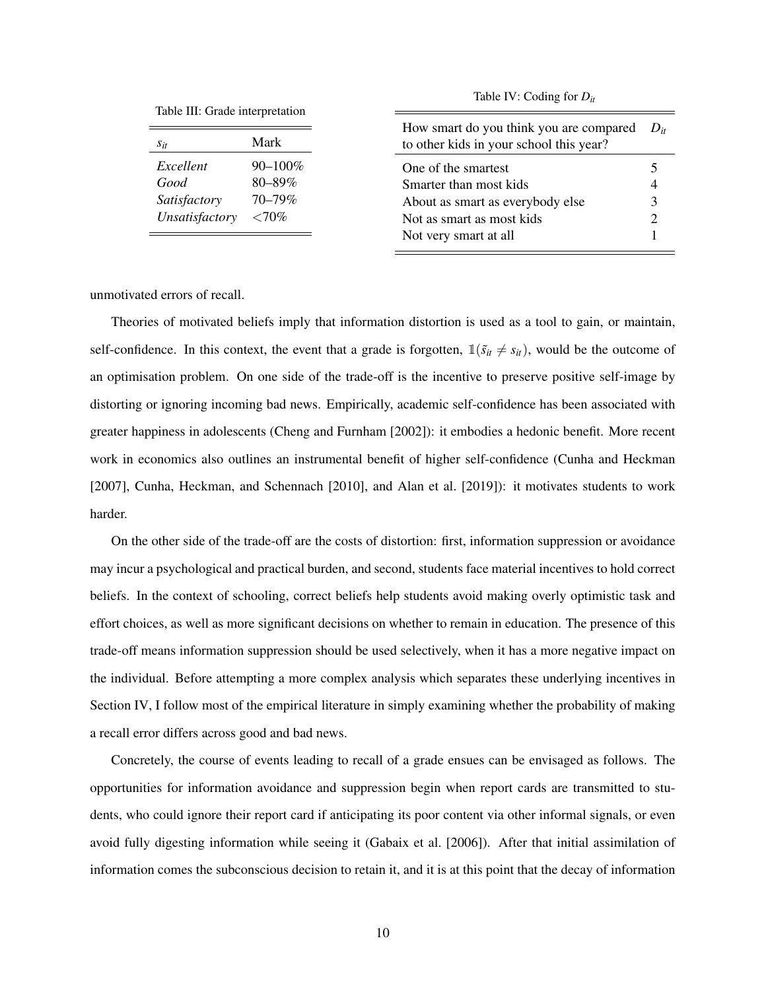<span id="page-10-0"></span>

|  |  | Table III: Grade interpretation |
|--|--|---------------------------------|
|--|--|---------------------------------|

| Table III: Grade interpretation |             |                                                                                    |          |
|---------------------------------|-------------|------------------------------------------------------------------------------------|----------|
| $S_{it}$                        | Mark        | How smart do you think you are compared<br>to other kids in your school this year? | $D_{it}$ |
| Excellent                       | 90-100%     | One of the smartest                                                                |          |
| Good                            | $80 - 89\%$ | Smarter than most kids                                                             |          |
| Satisfactory                    | 70–79%      | About as smart as everybody else                                                   | 3        |
| Unsatisfactory                  | ${<}70\%$   | Not as smart as most kids                                                          | ∍        |
|                                 |             | Not very smart at all                                                              |          |

Table IV: Coding for *Dit*

unmotivated errors of recall.

Theories of motivated beliefs imply that information distortion is used as a tool to gain, or maintain, self-confidence. In this context, the event that a grade is forgotten,  $\mathbb{1}(\tilde{s}_{it} \neq s_{it})$ , would be the outcome of an optimisation problem. On one side of the trade-off is the incentive to preserve positive self-image by distorting or ignoring incoming bad news. Empirically, academic self-confidence has been associated with greater happiness in adolescents (Cheng and Furnham [\[2002\]](#page-37-11)): it embodies a hedonic benefit. More recent work in economics also outlines an instrumental benefit of higher self-confidence (Cunha and Heckman [\[2007\]](#page-37-5), Cunha, Heckman, and Schennach [\[2010\]](#page-37-6), and Alan et al. [\[2019\]](#page-37-7)): it motivates students to work harder.

On the other side of the trade-off are the costs of distortion: first, information suppression or avoidance may incur a psychological and practical burden, and second, students face material incentives to hold correct beliefs. In the context of schooling, correct beliefs help students avoid making overly optimistic task and effort choices, as well as more significant decisions on whether to remain in education. The presence of this trade-off means information suppression should be used selectively, when it has a more negative impact on the individual. Before attempting a more complex analysis which separates these underlying incentives in [Section IV,](#page-22-0) I follow most of the empirical literature in simply examining whether the probability of making a recall error differs across good and bad news.

Concretely, the course of events leading to recall of a grade ensues can be envisaged as follows. The opportunities for information avoidance and suppression begin when report cards are transmitted to students, who could ignore their report card if anticipating its poor content via other informal signals, or even avoid fully digesting information while seeing it (Gabaix et al. [\[2006\]](#page-38-3)). After that initial assimilation of information comes the subconscious decision to retain it, and it is at this point that the decay of information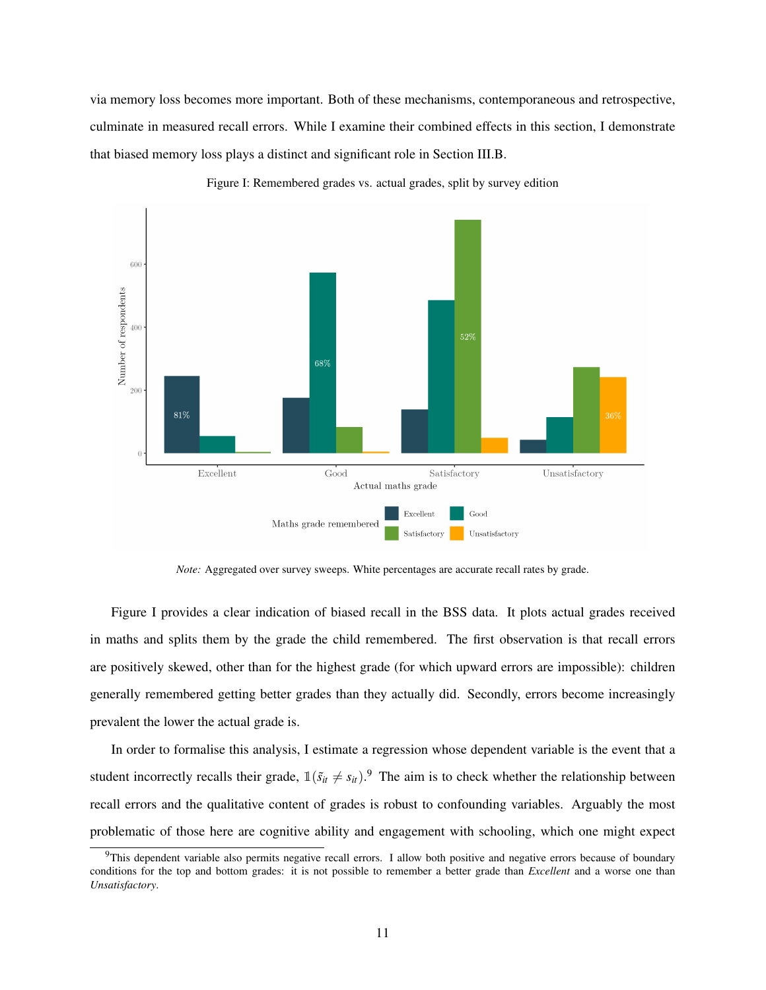via memory loss becomes more important. Both of these mechanisms, contemporaneous and retrospective, culminate in measured recall errors. While I examine their combined effects in this section, I demonstrate that biased memory loss plays a distinct and significant role in [Section III.B.](#page-15-0)

<span id="page-11-0"></span>

Figure I: Remembered grades vs. actual grades, split by survey edition

*Note:* Aggregated over survey sweeps. White percentages are accurate recall rates by grade.

[Figure I](#page-11-0) provides a clear indication of biased recall in the BSS data. It plots actual grades received in maths and splits them by the grade the child remembered. The first observation is that recall errors are positively skewed, other than for the highest grade (for which upward errors are impossible): children generally remembered getting better grades than they actually did. Secondly, errors become increasingly prevalent the lower the actual grade is.

In order to formalise this analysis, I estimate a regression whose dependent variable is the event that a student incorrectly recalls their grade,  $\mathbb{1}(\tilde{s}_{it} \neq s_{it})$ .<sup>9</sup> The aim is to check whether the relationship between recall errors and the qualitative content of grades is robust to confounding variables. Arguably the most problematic of those here are cognitive ability and engagement with schooling, which one might expect

 $9$ This dependent variable also permits negative recall errors. I allow both positive and negative errors because of boundary conditions for the top and bottom grades: it is not possible to remember a better grade than *Excellent* and a worse one than *Unsatisfactory*.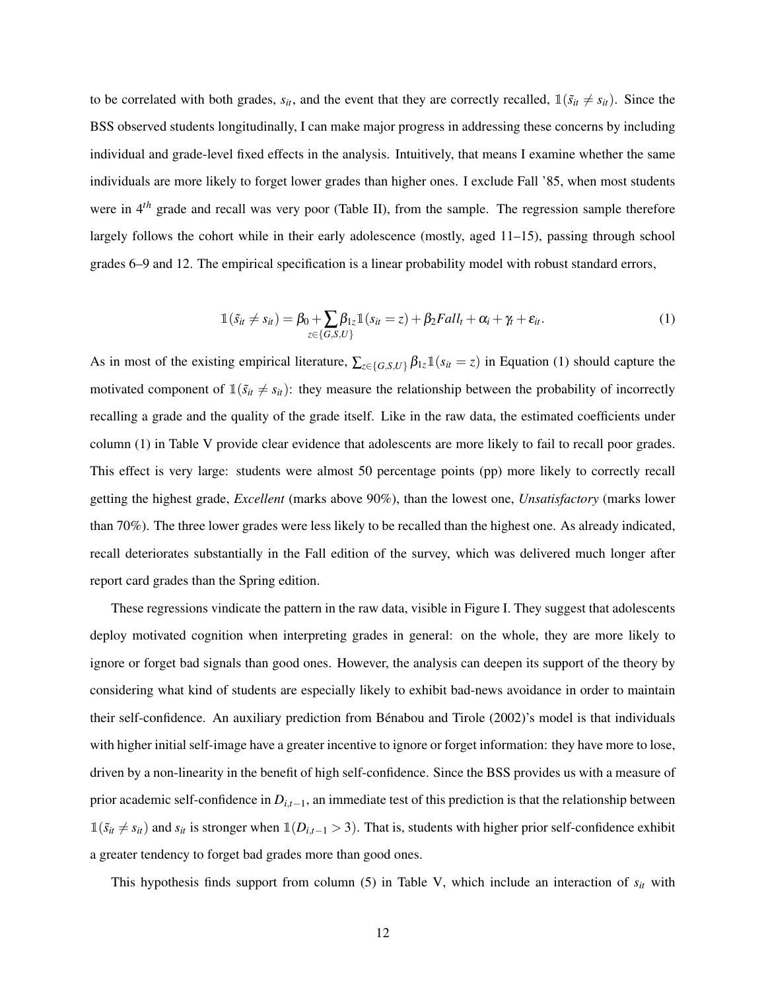to be correlated with both grades,  $s_{it}$ , and the event that they are correctly recalled,  $\mathbb{1}(\tilde{s}_{it} \neq s_{it})$ . Since the BSS observed students longitudinally, I can make major progress in addressing these concerns by including individual and grade-level fixed effects in the analysis. Intuitively, that means I examine whether the same individuals are more likely to forget lower grades than higher ones. I exclude Fall '85, when most students were in 4<sup>th</sup> grade and recall was very poor [\(Table II\)](#page-9-0), from the sample. The regression sample therefore largely follows the cohort while in their early adolescence (mostly, aged 11–15), passing through school grades 6–9 and 12. The empirical specification is a linear probability model with robust standard errors,

$$
\mathbb{1}(\tilde{s}_{it} \neq s_{it}) = \beta_0 + \sum_{z \in \{G, S, U\}} \beta_{1z} \mathbb{1}(s_{it} = z) + \beta_2 Fall_t + \alpha_i + \gamma_t + \varepsilon_{it}.
$$
\n(1)

<span id="page-12-0"></span>As in most of the existing empirical literature,  $\sum_{z \in \{G,S,U\}} \beta_{1z} \mathbb{1}(s_{it} = z)$  in [Equation \(1\)](#page-12-0) should capture the motivated component of  $\mathbb{1}(s_{it} \neq s_{it})$ : they measure the relationship between the probability of incorrectly recalling a grade and the quality of the grade itself. Like in the raw data, the estimated coefficients under column (1) in [Table V](#page-13-0) provide clear evidence that adolescents are more likely to fail to recall poor grades. This effect is very large: students were almost 50 percentage points (pp) more likely to correctly recall getting the highest grade, *Excellent* (marks above 90%), than the lowest one, *Unsatisfactory* (marks lower than 70%). The three lower grades were less likely to be recalled than the highest one. As already indicated, recall deteriorates substantially in the Fall edition of the survey, which was delivered much longer after report card grades than the Spring edition.

These regressions vindicate the pattern in the raw data, visible in [Figure I.](#page-11-0) They suggest that adolescents deploy motivated cognition when interpreting grades in general: on the whole, they are more likely to ignore or forget bad signals than good ones. However, the analysis can deepen its support of the theory by considering what kind of students are especially likely to exhibit bad-news avoidance in order to maintain their self-confidence. An auxiliary prediction from Benabou and Tirole [\(2002\)](#page-37-0)'s model is that individuals ´ with higher initial self-image have a greater incentive to ignore or forget information: they have more to lose, driven by a non-linearity in the benefit of high self-confidence. Since the BSS provides us with a measure of prior academic self-confidence in *Di*,*t*−1, an immediate test of this prediction is that the relationship between  $1(\tilde{s}_{it} \neq s_{it})$  and  $s_{it}$  is stronger when  $1(D_{i,t-1} > 3)$ . That is, students with higher prior self-confidence exhibit a greater tendency to forget bad grades more than good ones.

This hypothesis finds support from column (5) in [Table V,](#page-13-0) which include an interaction of *sit* with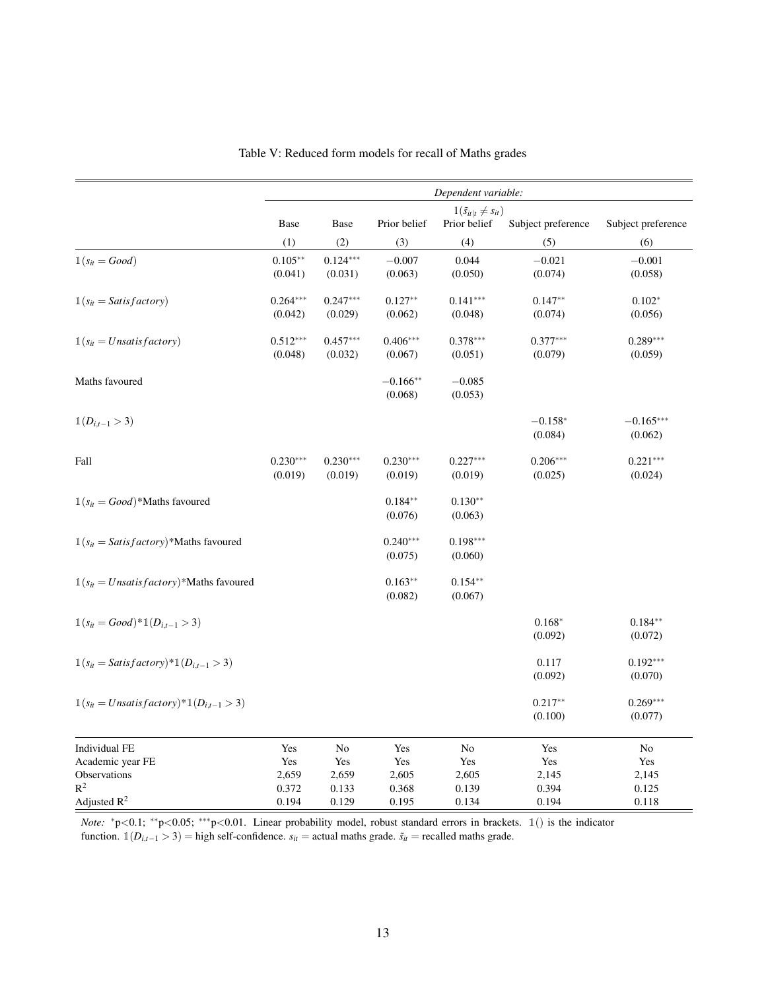<span id="page-13-0"></span>

|                                                                 |            |            |              | Dependent variable:               |                    |                    |
|-----------------------------------------------------------------|------------|------------|--------------|-----------------------------------|--------------------|--------------------|
|                                                                 |            |            |              | $1(\tilde{s}_{it t} \neq s_{it})$ |                    |                    |
|                                                                 | Base       | Base       | Prior belief | Prior belief                      | Subject preference | Subject preference |
|                                                                 | (1)        | (2)        | (3)          | (4)                               | (5)                | (6)                |
| $\mathbb{1}(s_{it} = Good)$                                     | $0.105***$ | $0.124***$ | $-0.007$     | 0.044                             | $-0.021$           | $-0.001$           |
|                                                                 | (0.041)    | (0.031)    | (0.063)      | (0.050)                           | (0.074)            | (0.058)            |
| $\mathbb{1}(s_{it} = Satisfactory)$                             | $0.264***$ | $0.247***$ | $0.127**$    | $0.141***$                        | $0.147**$          | $0.102*$           |
|                                                                 | (0.042)    | (0.029)    | (0.062)      | (0.048)                           | (0.074)            | (0.056)            |
| $\mathbb{1}(s_{it} = Unsatisfactory)$                           | $0.512***$ | $0.457***$ | $0.406***$   | $0.378***$                        | $0.377***$         | $0.289***$         |
|                                                                 | (0.048)    | (0.032)    | (0.067)      | (0.051)                           | (0.079)            | (0.059)            |
| Maths favoured                                                  |            |            | $-0.166**$   | $-0.085$                          |                    |                    |
|                                                                 |            |            | (0.068)      | (0.053)                           |                    |                    |
| $\mathbb{1}(D_{i,t-1} > 3)$                                     |            |            |              |                                   | $-0.158*$          | $-0.165***$        |
|                                                                 |            |            |              |                                   | (0.084)            | (0.062)            |
| Fall                                                            | $0.230***$ | $0.230***$ | $0.230***$   | $0.227***$                        | $0.206***$         | $0.221***$         |
|                                                                 | (0.019)    | (0.019)    | (0.019)      | (0.019)                           | (0.025)            | (0.024)            |
| $\mathbb{1}(s_{it} = Good)*$ Maths favoured                     |            |            | $0.184**$    | $0.130**$                         |                    |                    |
|                                                                 |            |            | (0.076)      | (0.063)                           |                    |                    |
| $\mathbb{1}(s_{it} = Satisfactory)$ *Maths favoured             |            |            | $0.240***$   | $0.198***$                        |                    |                    |
|                                                                 |            |            | (0.075)      | (0.060)                           |                    |                    |
| $\mathbb{1}(s_{it} = Unsatisfactory)*$ Maths favoured           |            |            | $0.163**$    | $0.154**$                         |                    |                    |
|                                                                 |            |            | (0.082)      | (0.067)                           |                    |                    |
| $\mathbb{1}(s_{it} = Good)^* \mathbb{1}(D_{i,t-1} > 3)$         |            |            |              |                                   | $0.168*$           | $0.184**$          |
|                                                                 |            |            |              |                                   | (0.092)            | (0.072)            |
| $\mathbb{1}(s_{it} = Satisfactory)^*\mathbb{1}(D_{i,t-1} > 3)$  |            |            |              |                                   | 0.117              | $0.192***$         |
|                                                                 |            |            |              |                                   | (0.092)            | (0.070)            |
| $\mathbb{1}(s_{it} = Unsatisfactory)*\mathbb{1}(D_{i,t-1} > 3)$ |            |            |              |                                   | $0.217**$          | $0.269***$         |
|                                                                 |            |            |              |                                   | (0.100)            | (0.077)            |
| <b>Individual FE</b>                                            | Yes        | No         | Yes          | No                                | Yes                | No                 |
| Academic year FE                                                | Yes        | Yes        | Yes          | Yes                               | Yes                | Yes                |
| Observations                                                    | 2,659      | 2,659      | 2,605        | 2,605                             | 2,145              | 2,145              |
| $R^2$                                                           | 0.372      | 0.133      | 0.368        | 0.139                             | 0.394              | 0.125              |
| Adjusted $R^2$                                                  | 0.194      | 0.129      | 0.195        | 0.134                             | 0.194              | 0.118              |

Table V: Reduced form models for recall of Maths grades

*Note:* <sup>\*</sup>p<0.1; <sup>\*\*</sup>p<0.05; <sup>\*\*\*</sup>p<0.01. Linear probability model, robust standard errors in brackets. 1() is the indicator function.  $\mathbb{1}(D_{i,t-1} > 3)$  = high self-confidence.  $s_{it}$  = actual maths grade.  $\tilde{s}_{it}$  = recalled maths grade.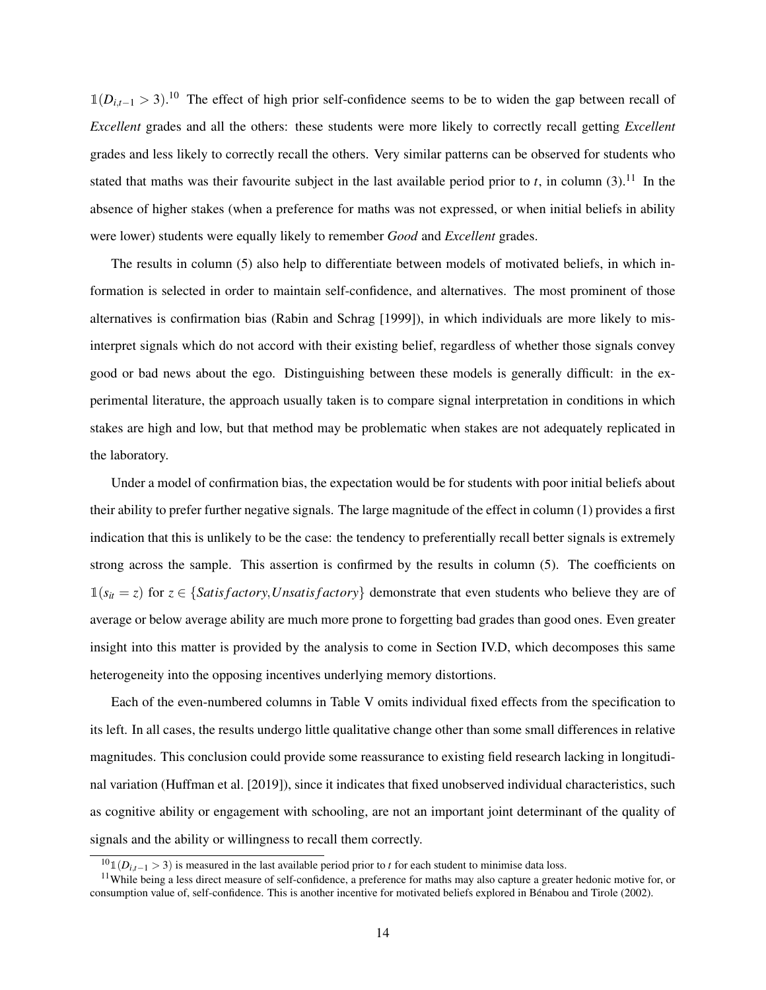1(*Di*,*t*−<sup>1</sup> > 3). <sup>10</sup> The effect of high prior self-confidence seems to be to widen the gap between recall of *Excellent* grades and all the others: these students were more likely to correctly recall getting *Excellent* grades and less likely to correctly recall the others. Very similar patterns can be observed for students who stated that maths was their favourite subject in the last available period prior to *t*, in column  $(3)$ .<sup>11</sup> In the absence of higher stakes (when a preference for maths was not expressed, or when initial beliefs in ability were lower) students were equally likely to remember *Good* and *Excellent* grades.

The results in column (5) also help to differentiate between models of motivated beliefs, in which information is selected in order to maintain self-confidence, and alternatives. The most prominent of those alternatives is confirmation bias (Rabin and Schrag [\[1999\]](#page-39-3)), in which individuals are more likely to misinterpret signals which do not accord with their existing belief, regardless of whether those signals convey good or bad news about the ego. Distinguishing between these models is generally difficult: in the experimental literature, the approach usually taken is to compare signal interpretation in conditions in which stakes are high and low, but that method may be problematic when stakes are not adequately replicated in the laboratory.

Under a model of confirmation bias, the expectation would be for students with poor initial beliefs about their ability to prefer further negative signals. The large magnitude of the effect in column (1) provides a first indication that this is unlikely to be the case: the tendency to preferentially recall better signals is extremely strong across the sample. This assertion is confirmed by the results in column (5). The coefficients on  $1(s<sub>i</sub> = z)$  for  $z \in \{Satisfactory, Unsatisfactory\}$  demonstrate that even students who believe they are of average or below average ability are much more prone to forgetting bad grades than good ones. Even greater insight into this matter is provided by the analysis to come in [Section IV.D,](#page-28-0) which decomposes this same heterogeneity into the opposing incentives underlying memory distortions.

Each of the even-numbered columns in [Table V](#page-13-0) omits individual fixed effects from the specification to its left. In all cases, the results undergo little qualitative change other than some small differences in relative magnitudes. This conclusion could provide some reassurance to existing field research lacking in longitudinal variation (Huffman et al. [\[2019\]](#page-38-2)), since it indicates that fixed unobserved individual characteristics, such as cognitive ability or engagement with schooling, are not an important joint determinant of the quality of signals and the ability or willingness to recall them correctly.

 $10<sub>1</sub>(D<sub>i,t-1</sub> > 3)$  is measured in the last available period prior to *t* for each student to minimise data loss.

<sup>&</sup>lt;sup>11</sup>While being a less direct measure of self-confidence, a preference for maths may also capture a greater hedonic motive for, or consumption value of, self-confidence. This is another incentive for motivated beliefs explored in Benabou and Tirole [\(2002\)](#page-37-0). ´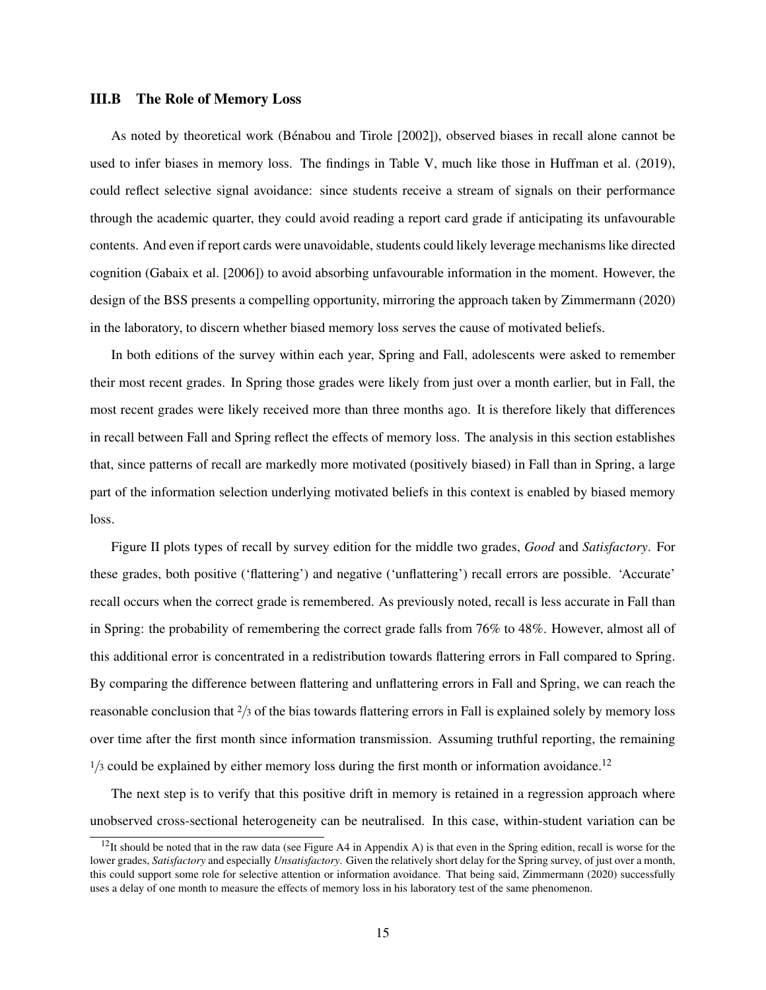#### <span id="page-15-0"></span>III.B The Role of Memory Loss

As noted by theoretical work (Bénabou and Tirole [\[2002\]](#page-37-0)), observed biases in recall alone cannot be used to infer biases in memory loss. The findings in [Table V,](#page-13-0) much like those in Huffman et al. [\(2019\)](#page-38-2), could reflect selective signal avoidance: since students receive a stream of signals on their performance through the academic quarter, they could avoid reading a report card grade if anticipating its unfavourable contents. And even if report cards were unavoidable, students could likely leverage mechanisms like directed cognition (Gabaix et al. [\[2006\]](#page-38-3)) to avoid absorbing unfavourable information in the moment. However, the design of the BSS presents a compelling opportunity, mirroring the approach taken by Zimmermann [\(2020\)](#page-39-4) in the laboratory, to discern whether biased memory loss serves the cause of motivated beliefs.

In both editions of the survey within each year, Spring and Fall, adolescents were asked to remember their most recent grades. In Spring those grades were likely from just over a month earlier, but in Fall, the most recent grades were likely received more than three months ago. It is therefore likely that differences in recall between Fall and Spring reflect the effects of memory loss. The analysis in this section establishes that, since patterns of recall are markedly more motivated (positively biased) in Fall than in Spring, a large part of the information selection underlying motivated beliefs in this context is enabled by biased memory loss.

[Figure II](#page-16-0) plots types of recall by survey edition for the middle two grades, *Good* and *Satisfactory*. For these grades, both positive ('flattering') and negative ('unflattering') recall errors are possible. 'Accurate' recall occurs when the correct grade is remembered. As previously noted, recall is less accurate in Fall than in Spring: the probability of remembering the correct grade falls from 76% to 48%. However, almost all of this additional error is concentrated in a redistribution towards flattering errors in Fall compared to Spring. By comparing the difference between flattering and unflattering errors in Fall and Spring, we can reach the reasonable conclusion that <sup>2</sup>/<sup>3</sup> of the bias towards flattering errors in Fall is explained solely by memory loss over time after the first month since information transmission. Assuming truthful reporting, the remaining  $1/3$  could be explained by either memory loss during the first month or information avoidance.<sup>12</sup>

The next step is to verify that this positive drift in memory is retained in a regression approach where unobserved cross-sectional heterogeneity can be neutralised. In this case, within-student variation can be

 $12$ It should be noted that in the raw data (see [Figure A4](#page-40-0) in [Appendix A\)](#page-40-1) is that even in the Spring edition, recall is worse for the lower grades, *Satisfactory* and especially *Unsatisfactory*. Given the relatively short delay for the Spring survey, of just over a month, this could support some role for selective attention or information avoidance. That being said, Zimmermann [\(2020\)](#page-39-4) successfully uses a delay of one month to measure the effects of memory loss in his laboratory test of the same phenomenon.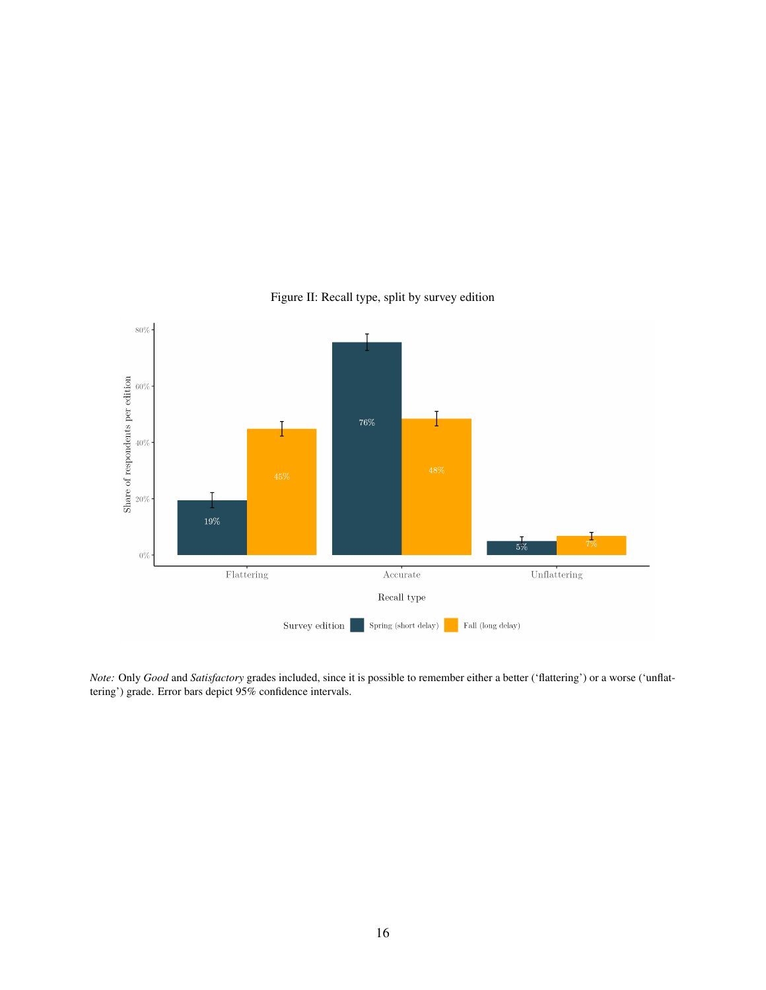<span id="page-16-0"></span>

Figure II: Recall type, split by survey edition

*Note:* Only *Good* and *Satisfactory* grades included, since it is possible to remember either a better ('flattering') or a worse ('unflattering') grade. Error bars depict 95% confidence intervals.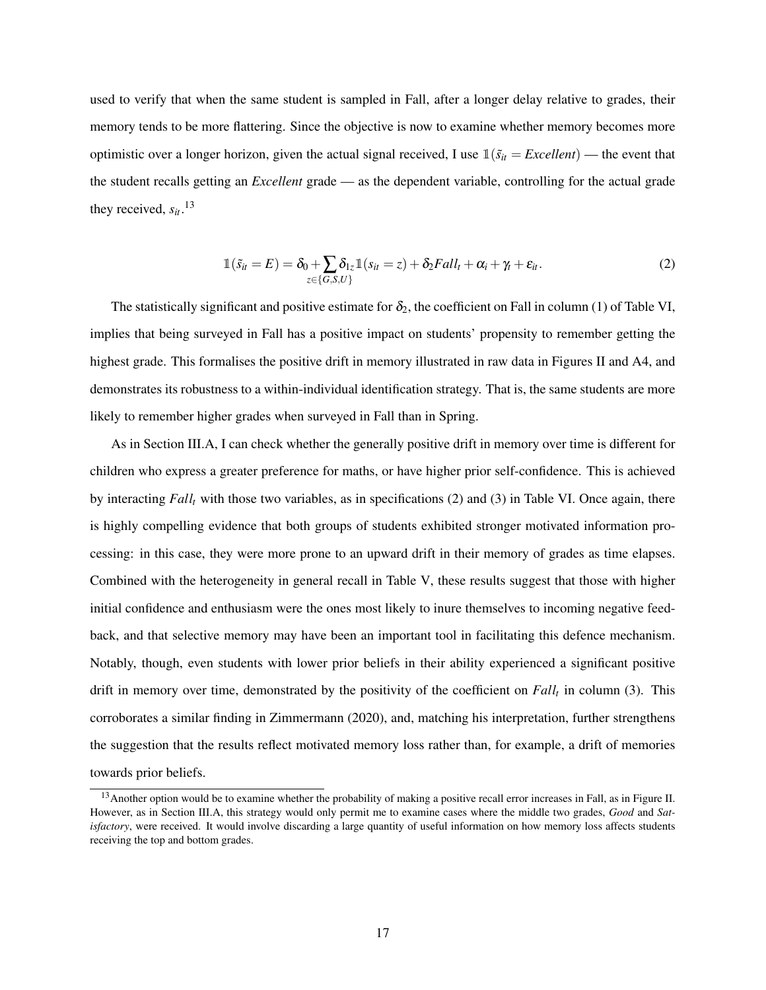used to verify that when the same student is sampled in Fall, after a longer delay relative to grades, their memory tends to be more flattering. Since the objective is now to examine whether memory becomes more optimistic over a longer horizon, given the actual signal received, I use  $\mathbb{1}(\tilde{s}_{it} = Excellent)$  — the event that the student recalls getting an *Excellent* grade — as the dependent variable, controlling for the actual grade they received,  $s_{it}$ .<sup>13</sup>

$$
\mathbb{1}(\tilde{s}_{it} = E) = \delta_0 + \sum_{z \in \{G, S, U\}} \delta_{1z} \mathbb{1}(s_{it} = z) + \delta_2 Fall_t + \alpha_i + \gamma_t + \varepsilon_{it}.
$$
\n(2)

The statistically significant and positive estimate for  $\delta_2$ , the coefficient on Fall in column (1) of [Table VI,](#page-18-0) implies that being surveyed in Fall has a positive impact on students' propensity to remember getting the highest grade. This formalises the positive drift in memory illustrated in raw data in [Figures II](#page-16-0) and [A4,](#page-40-0) and demonstrates its robustness to a within-individual identification strategy. That is, the same students are more likely to remember higher grades when surveyed in Fall than in Spring.

As in [Section III.A,](#page-9-1) I can check whether the generally positive drift in memory over time is different for children who express a greater preference for maths, or have higher prior self-confidence. This is achieved by interacting *Fall<sup>t</sup>* with those two variables, as in specifications (2) and (3) in [Table VI.](#page-18-0) Once again, there is highly compelling evidence that both groups of students exhibited stronger motivated information processing: in this case, they were more prone to an upward drift in their memory of grades as time elapses. Combined with the heterogeneity in general recall in [Table V,](#page-13-0) these results suggest that those with higher initial confidence and enthusiasm were the ones most likely to inure themselves to incoming negative feedback, and that selective memory may have been an important tool in facilitating this defence mechanism. Notably, though, even students with lower prior beliefs in their ability experienced a significant positive drift in memory over time, demonstrated by the positivity of the coefficient on *Fall<sup>t</sup>* in column (3). This corroborates a similar finding in Zimmermann [\(2020\)](#page-39-4), and, matching his interpretation, further strengthens the suggestion that the results reflect motivated memory loss rather than, for example, a drift of memories towards prior beliefs.

 $13$  Another option would be to examine whether the probability of making a positive recall error increases in Fall, as in [Figure II.](#page-16-0) However, as in [Section III.A,](#page-9-1) this strategy would only permit me to examine cases where the middle two grades, *Good* and *Satisfactory*, were received. It would involve discarding a large quantity of useful information on how memory loss affects students receiving the top and bottom grades.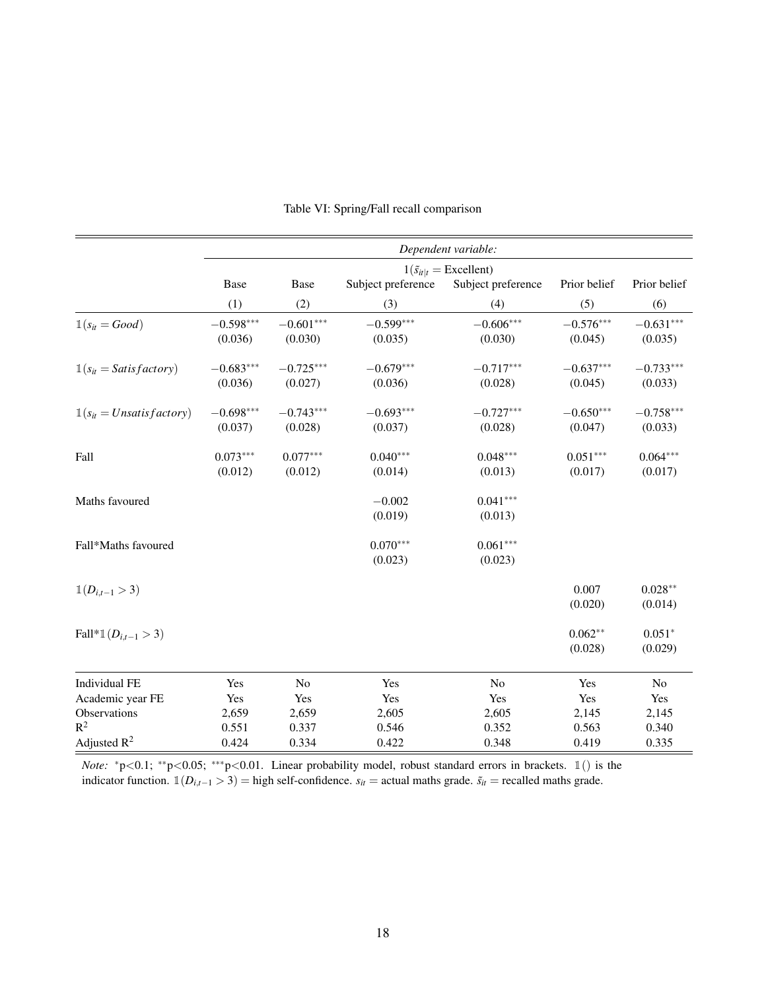<span id="page-18-0"></span>

|                                       |                                           |             |                    | Dependent variable: |              |              |
|---------------------------------------|-------------------------------------------|-------------|--------------------|---------------------|--------------|--------------|
|                                       | $1(\tilde{s}_{it} _t = \text{Excellent})$ |             |                    |                     |              |              |
|                                       | Base                                      | Base        | Subject preference | Subject preference  | Prior belief | Prior belief |
|                                       | (1)                                       | (2)         | (3)                | (4)                 | (5)          | (6)          |
| $\mathbb{1}(s_{it} = Good)$           | $-0.598***$                               | $-0.601***$ | $-0.599***$        | $-0.606***$         | $-0.576***$  | $-0.631***$  |
|                                       | (0.036)                                   | (0.030)     | (0.035)            | (0.030)             | (0.045)      | (0.035)      |
| $\mathbb{1}(s_{it} = Satisfactory)$   | $-0.683***$                               | $-0.725***$ | $-0.679***$        | $-0.717***$         | $-0.637***$  | $-0.733***$  |
|                                       | (0.036)                                   | (0.027)     | (0.036)            | (0.028)             | (0.045)      | (0.033)      |
| $\mathbb{1}(s_{it} = Unsatisfactory)$ | $-0.698***$                               | $-0.743***$ | $-0.693***$        | $-0.727***$         | $-0.650***$  | $-0.758***$  |
|                                       | (0.037)                                   | (0.028)     | (0.037)            | (0.028)             | (0.047)      | (0.033)      |
| Fall                                  | $0.073***$                                | $0.077***$  | $0.040***$         | $0.048***$          | $0.051***$   | $0.064***$   |
|                                       | (0.012)                                   | (0.012)     | (0.014)            | (0.013)             | (0.017)      | (0.017)      |
| Maths favoured                        |                                           |             | $-0.002$           | $0.041***$          |              |              |
|                                       |                                           |             | (0.019)            | (0.013)             |              |              |
| Fall*Maths favoured                   |                                           |             | $0.070***$         | $0.061***$          |              |              |
|                                       |                                           |             | (0.023)            | (0.023)             |              |              |
| $\mathbb{1}(D_{i,t-1} > 3)$           |                                           |             |                    |                     | 0.007        | $0.028**$    |
|                                       |                                           |             |                    |                     | (0.020)      | (0.014)      |
| Fall* $\mathbb{1}(D_{i,t-1} > 3)$     |                                           |             |                    |                     | $0.062**$    | $0.051*$     |
|                                       |                                           |             |                    |                     | (0.028)      | (0.029)      |
| <b>Individual FE</b>                  | Yes                                       | No          | Yes                | No                  | Yes          | No           |
| Academic year FE                      | Yes                                       | Yes         | Yes                | Yes                 | Yes          | Yes          |
| Observations                          | 2,659                                     | 2,659       | 2,605              | 2,605               | 2,145        | 2,145        |
| $R^2$                                 | 0.551                                     | 0.337       | 0.546              | 0.352               | 0.563        | 0.340        |
| Adjusted $R^2$                        | 0.424                                     | 0.334       | 0.422              | 0.348               | 0.419        | 0.335        |

Table VI: Spring/Fall recall comparison

*Note:* <sup>\*</sup>p<0.1; <sup>\*\*</sup>p<0.05; <sup>\*\*\*</sup>p<0.01. Linear probability model, robust standard errors in brackets. 1() is the indicator function.  $\mathbb{1}(D_{i,t-1} > 3)$  = high self-confidence.  $s_{it}$  = actual maths grade.  $\tilde{s}_{it}$  = recalled maths grade.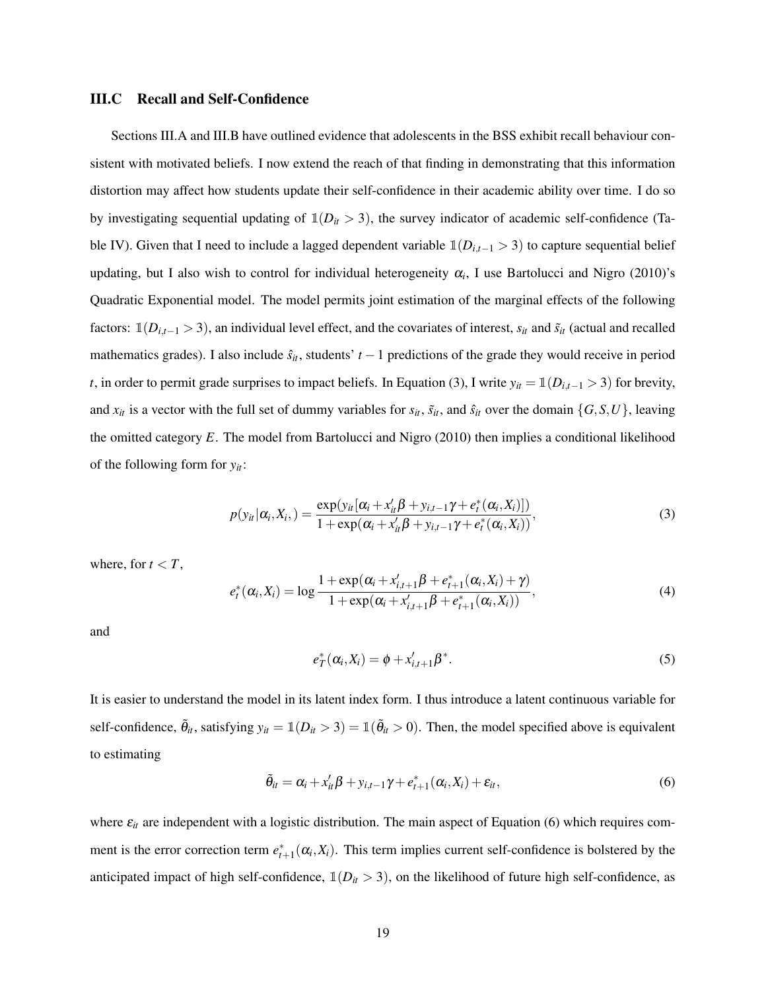#### <span id="page-19-3"></span>III.C Recall and Self-Confidence

[Sections III.A](#page-9-1) and [III.B](#page-15-0) have outlined evidence that adolescents in the BSS exhibit recall behaviour consistent with motivated beliefs. I now extend the reach of that finding in demonstrating that this information distortion may affect how students update their self-confidence in their academic ability over time. I do so by investigating sequential updating of  $\mathbb{1}(D_{it} > 3)$ , the survey indicator of academic self-confidence [\(Ta](#page-10-0)[ble IV\)](#page-10-0). Given that I need to include a lagged dependent variable  $\mathbb{1}(D_{i,t-1} > 3)$  to capture sequential belief updating, but I also wish to control for individual heterogeneity  $\alpha_i$ , I use Bartolucci and Nigro [\(2010\)](#page-37-12)'s Quadratic Exponential model. The model permits joint estimation of the marginal effects of the following factors:  $\mathbb{1}(D_{i,t-1} > 3)$ , an individual level effect, and the covariates of interest,  $s_{it}$  and  $\tilde{s}_{it}$  (actual and recalled mathematics grades). I also include  $\hat{s}_{it}$ , students'  $t - 1$  predictions of the grade they would receive in period *t*, in order to permit grade surprises to impact beliefs. In [Equation \(3\),](#page-19-0) I write  $y_{it} = \mathbb{1}(D_{i,t-1} > 3)$  for brevity, and  $x_{it}$  is a vector with the full set of dummy variables for  $s_{it}$ ,  $\tilde{s}_{it}$ , and  $\hat{s}_{it}$  over the domain  $\{G, S, U\}$ , leaving the omitted category *E*. The model from Bartolucci and Nigro [\(2010\)](#page-37-12) then implies a conditional likelihood of the following form for *yit*:

<span id="page-19-0"></span>
$$
p(y_{it}|\alpha_i, X_i, ) = \frac{\exp(y_{it}[\alpha_i + x_{it}'\beta + y_{i,t-1}\gamma + e_t^*(\alpha_i, X_i)])}{1 + \exp(\alpha_i + x_{it}'\beta + y_{i,t-1}\gamma + e_t^*(\alpha_i, X_i))},
$$
\n(3)

where, for  $t < T$ ,

<span id="page-19-2"></span>
$$
e_t^*(\alpha_i, X_i) = \log \frac{1 + \exp(\alpha_i + x_{i,t+1}'\beta + e_{t+1}^*(\alpha_i, X_i) + \gamma)}{1 + \exp(\alpha_i + x_{i,t+1}'\beta + e_{t+1}^*(\alpha_i, X_i))},
$$
(4)

and

$$
e_T^*(\alpha_i, X_i) = \phi + x_{i,t+1}'\beta^*.
$$
\n<sup>(5)</sup>

<span id="page-19-1"></span>It is easier to understand the model in its latent index form. I thus introduce a latent continuous variable for self-confidence,  $\tilde{\theta}_{it}$ , satisfying  $y_{it} = \mathbb{1}(D_{it} > 3) = \mathbb{1}(\tilde{\theta}_{it} > 0)$ . Then, the model specified above is equivalent to estimating

$$
\tilde{\theta}_{it} = \alpha_i + x_{it}'\beta + y_{i,t-1}\gamma + e_{t+1}^*(\alpha_i, X_i) + \varepsilon_{it},
$$
\n(6)

where  $\varepsilon_{it}$  are independent with a logistic distribution. The main aspect of [Equation \(6\)](#page-19-1) which requires comment is the error correction term  $e_{t+1}^*(\alpha_i, X_i)$ . This term implies current self-confidence is bolstered by the anticipated impact of high self-confidence,  $\mathbb{1}(D_{it} > 3)$ , on the likelihood of future high self-confidence, as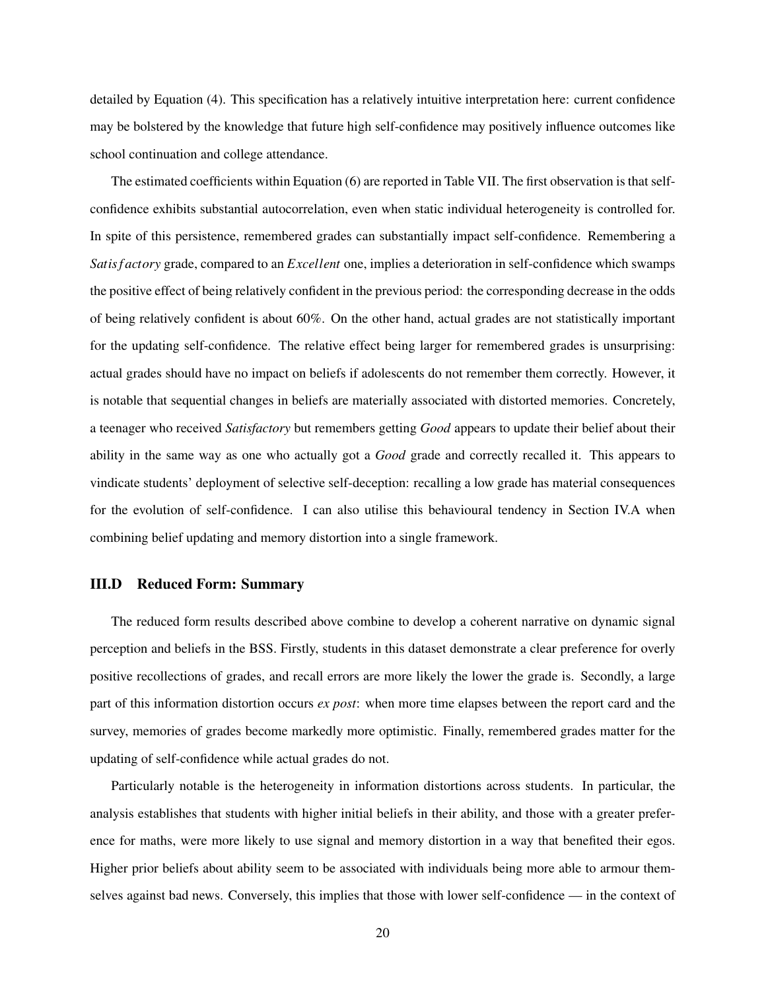detailed by [Equation \(4\).](#page-19-2) This specification has a relatively intuitive interpretation here: current confidence may be bolstered by the knowledge that future high self-confidence may positively influence outcomes like school continuation and college attendance.

The estimated coefficients within [Equation \(6\)](#page-19-1) are reported in [Table VII.](#page-21-0) The first observation is that selfconfidence exhibits substantial autocorrelation, even when static individual heterogeneity is controlled for. In spite of this persistence, remembered grades can substantially impact self-confidence. Remembering a *Satis f actory* grade, compared to an *Excellent* one, implies a deterioration in self-confidence which swamps the positive effect of being relatively confident in the previous period: the corresponding decrease in the odds of being relatively confident is about 60%. On the other hand, actual grades are not statistically important for the updating self-confidence. The relative effect being larger for remembered grades is unsurprising: actual grades should have no impact on beliefs if adolescents do not remember them correctly. However, it is notable that sequential changes in beliefs are materially associated with distorted memories. Concretely, a teenager who received *Satisfactory* but remembers getting *Good* appears to update their belief about their ability in the same way as one who actually got a *Good* grade and correctly recalled it. This appears to vindicate students' deployment of selective self-deception: recalling a low grade has material consequences for the evolution of self-confidence. I can also utilise this behavioural tendency in [Section IV.A](#page-23-0) when combining belief updating and memory distortion into a single framework.

#### III.D Reduced Form: Summary

The reduced form results described above combine to develop a coherent narrative on dynamic signal perception and beliefs in the BSS. Firstly, students in this dataset demonstrate a clear preference for overly positive recollections of grades, and recall errors are more likely the lower the grade is. Secondly, a large part of this information distortion occurs *ex post*: when more time elapses between the report card and the survey, memories of grades become markedly more optimistic. Finally, remembered grades matter for the updating of self-confidence while actual grades do not.

Particularly notable is the heterogeneity in information distortions across students. In particular, the analysis establishes that students with higher initial beliefs in their ability, and those with a greater preference for maths, were more likely to use signal and memory distortion in a way that benefited their egos. Higher prior beliefs about ability seem to be associated with individuals being more able to armour themselves against bad news. Conversely, this implies that those with lower self-confidence — in the context of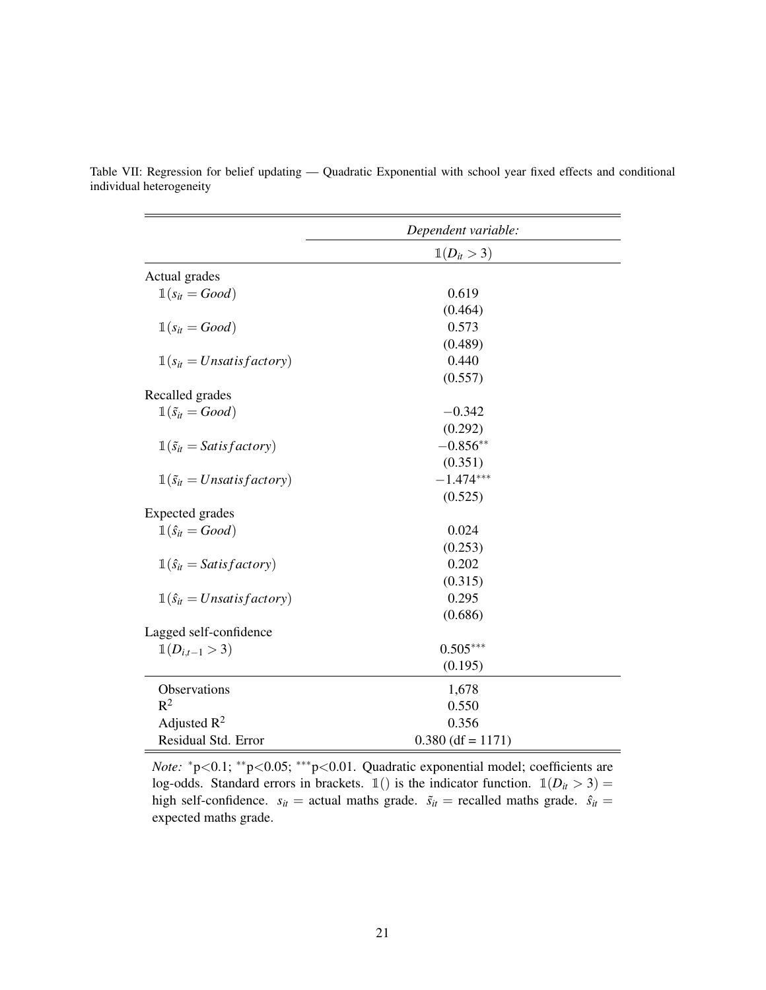|                                               | Dependent variable:    |  |
|-----------------------------------------------|------------------------|--|
|                                               | $\mathbb{1}(D_{it}>3)$ |  |
| Actual grades                                 |                        |  |
| $\mathbb{1}(s_{it} = Good)$                   | 0.619                  |  |
|                                               | (0.464)                |  |
| $\mathbb{1}(s_{it} = Good)$                   | 0.573                  |  |
|                                               | (0.489)                |  |
| $\mathbb{1}(s_{it} = Unsatisfactory)$         | 0.440                  |  |
|                                               | (0.557)                |  |
| Recalled grades                               |                        |  |
| $\mathbb{1}(\tilde{s}_{it} = Good)$           | $-0.342$               |  |
|                                               | (0.292)                |  |
| $\mathbb{1}(\tilde{s}_{it} = Satis factor y)$ | $-0.856**$             |  |
|                                               | (0.351)                |  |
| $\mathbb{1}(\tilde{s}_{it} = Unsatisfactory)$ | $-1.474***$            |  |
|                                               | (0.525)                |  |
| <b>Expected</b> grades                        |                        |  |
| $\mathbb{1}(\hat{s}_{it} = Good)$             | 0.024                  |  |
|                                               | (0.253)                |  |
| $\mathbb{1}(\hat{s}_{it} = Satisfactory)$     | 0.202                  |  |
|                                               | (0.315)                |  |
| $\mathbb{1}(\hat{s}_{it} = Unsatisfactory)$   | 0.295                  |  |
|                                               | (0.686)                |  |
| Lagged self-confidence                        |                        |  |
| $\mathbb{1}(D_{i,t-1} > 3)$                   | $0.505***$             |  |
|                                               | (0.195)                |  |
| Observations                                  | 1,678                  |  |
| $R^2$                                         | 0.550                  |  |
| Adjusted $R^2$                                | 0.356                  |  |
| Residual Std. Error                           | $0.380$ (df = 1171)    |  |

<span id="page-21-0"></span>Table VII: Regression for belief updating — Quadratic Exponential with school year fixed effects and conditional individual heterogeneity

> *Note:*  $*p<0.1$ ; \*\*p<0.05; \*\*\*p<0.01. Quadratic exponential model; coefficients are log-odds. Standard errors in brackets.  $\mathbb{1}$  () is the indicator function.  $\mathbb{1}(D_{it} > 3)$  = high self-confidence.  $s_{it}$  = actual maths grade.  $\tilde{s}_{it}$  = recalled maths grade.  $\hat{s}_{it}$  = expected maths grade.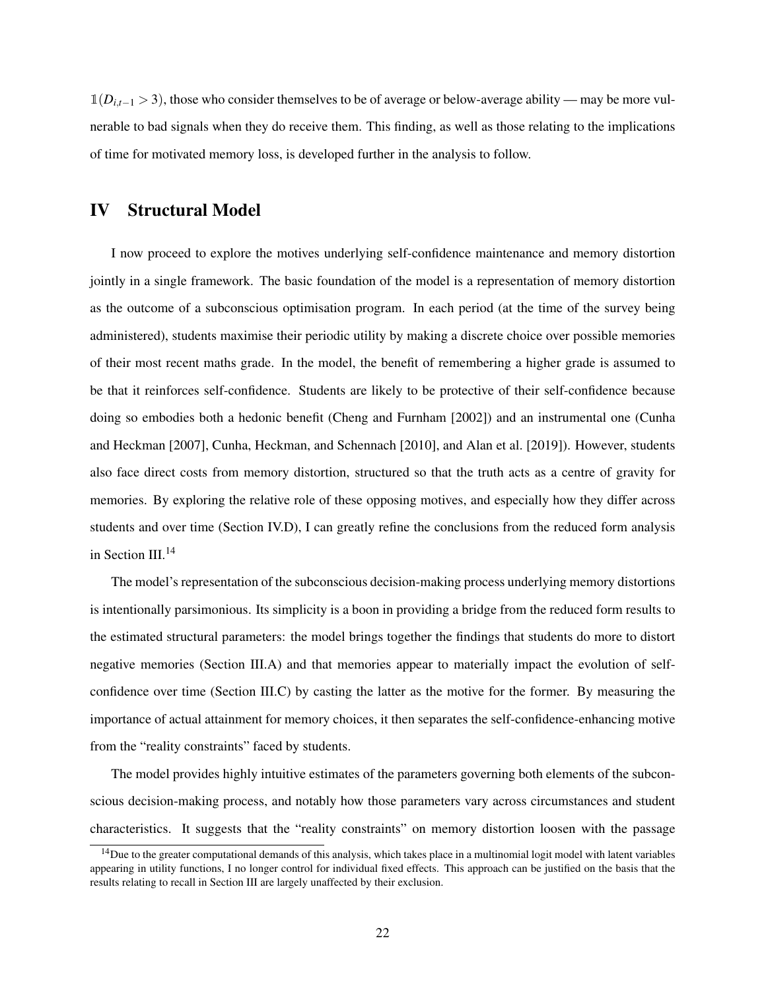$\mathbb{1}(D_{i,t-1} > 3)$ , those who consider themselves to be of average or below-average ability — may be more vulnerable to bad signals when they do receive them. This finding, as well as those relating to the implications of time for motivated memory loss, is developed further in the analysis to follow.

### <span id="page-22-0"></span>IV Structural Model

I now proceed to explore the motives underlying self-confidence maintenance and memory distortion jointly in a single framework. The basic foundation of the model is a representation of memory distortion as the outcome of a subconscious optimisation program. In each period (at the time of the survey being administered), students maximise their periodic utility by making a discrete choice over possible memories of their most recent maths grade. In the model, the benefit of remembering a higher grade is assumed to be that it reinforces self-confidence. Students are likely to be protective of their self-confidence because doing so embodies both a hedonic benefit (Cheng and Furnham [\[2002\]](#page-37-11)) and an instrumental one (Cunha and Heckman [\[2007\]](#page-37-5), Cunha, Heckman, and Schennach [\[2010\]](#page-37-6), and Alan et al. [\[2019\]](#page-37-7)). However, students also face direct costs from memory distortion, structured so that the truth acts as a centre of gravity for memories. By exploring the relative role of these opposing motives, and especially how they differ across students and over time [\(Section IV.D\)](#page-28-0), I can greatly refine the conclusions from the reduced form analysis in [Section III.](#page-9-2)<sup>14</sup>

The model's representation of the subconscious decision-making process underlying memory distortions is intentionally parsimonious. Its simplicity is a boon in providing a bridge from the reduced form results to the estimated structural parameters: the model brings together the findings that students do more to distort negative memories [\(Section III.A\)](#page-9-1) and that memories appear to materially impact the evolution of selfconfidence over time [\(Section III.C\)](#page-19-3) by casting the latter as the motive for the former. By measuring the importance of actual attainment for memory choices, it then separates the self-confidence-enhancing motive from the "reality constraints" faced by students.

The model provides highly intuitive estimates of the parameters governing both elements of the subconscious decision-making process, and notably how those parameters vary across circumstances and student characteristics. It suggests that the "reality constraints" on memory distortion loosen with the passage

 $14$ Due to the greater computational demands of this analysis, which takes place in a multinomial logit model with latent variables appearing in utility functions, I no longer control for individual fixed effects. This approach can be justified on the basis that the results relating to recall in [Section III](#page-9-2) are largely unaffected by their exclusion.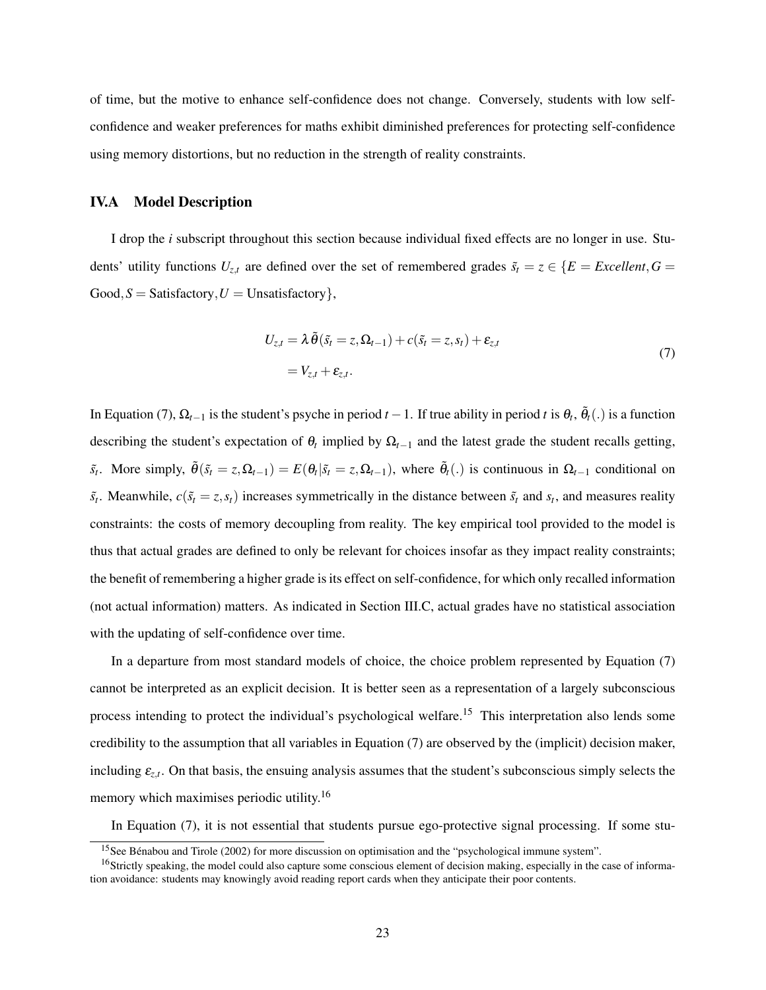of time, but the motive to enhance self-confidence does not change. Conversely, students with low selfconfidence and weaker preferences for maths exhibit diminished preferences for protecting self-confidence using memory distortions, but no reduction in the strength of reality constraints.

#### <span id="page-23-0"></span>IV.A Model Description

I drop the *i* subscript throughout this section because individual fixed effects are no longer in use. Students' utility functions  $U_{z,t}$  are defined over the set of remembered grades  $\tilde{s}_t = z \in \{E = Excellent, G = E\}$  $Good, S = S \text{atisfactory}, U = \text{Unsatisfactory}$ 

<span id="page-23-1"></span>
$$
U_{z,t} = \lambda \tilde{\theta}(\tilde{s}_t = z, \Omega_{t-1}) + c(\tilde{s}_t = z, s_t) + \varepsilon_{z,t}
$$
  
=  $V_{z,t} + \varepsilon_{z,t}$ . (7)

In [Equation \(7\),](#page-23-1)  $\Omega_{t-1}$  is the student's psyche in period  $t-1$ . If true ability in period t is  $\theta_t$ ,  $\tilde{\theta}_t(.)$  is a function describing the student's expectation of  $\theta_t$  implied by  $\Omega_{t-1}$  and the latest grade the student recalls getting,  $\tilde{s}_t$ . More simply,  $\tilde{\theta}(\tilde{s}_t = z, \Omega_{t-1}) = E(\theta_t | \tilde{s}_t = z, \Omega_{t-1})$ , where  $\tilde{\theta}_t(.)$  is continuous in  $\Omega_{t-1}$  conditional on  $\tilde{s}_t$ . Meanwhile,  $c(\tilde{s}_t = z, s_t)$  increases symmetrically in the distance between  $\tilde{s}_t$  and  $s_t$ , and measures reality constraints: the costs of memory decoupling from reality. The key empirical tool provided to the model is thus that actual grades are defined to only be relevant for choices insofar as they impact reality constraints; the benefit of remembering a higher grade is its effect on self-confidence, for which only recalled information (not actual information) matters. As indicated in [Section III.C,](#page-19-3) actual grades have no statistical association with the updating of self-confidence over time.

In a departure from most standard models of choice, the choice problem represented by [Equation \(7\)](#page-23-1) cannot be interpreted as an explicit decision. It is better seen as a representation of a largely subconscious process intending to protect the individual's psychological welfare.<sup>15</sup> This interpretation also lends some credibility to the assumption that all variables in [Equation \(7\)](#page-23-1) are observed by the (implicit) decision maker, including  $\varepsilon_{z,t}$ . On that basis, the ensuing analysis assumes that the student's subconscious simply selects the memory which maximises periodic utility.<sup>16</sup>

In [Equation \(7\),](#page-23-1) it is not essential that students pursue ego-protective signal processing. If some stu-

<sup>&</sup>lt;sup>15</sup>See Bénabou and Tirole [\(2002\)](#page-37-0) for more discussion on optimisation and the "psychological immune system".

 $16$ Strictly speaking, the model could also capture some conscious element of decision making, especially in the case of information avoidance: students may knowingly avoid reading report cards when they anticipate their poor contents.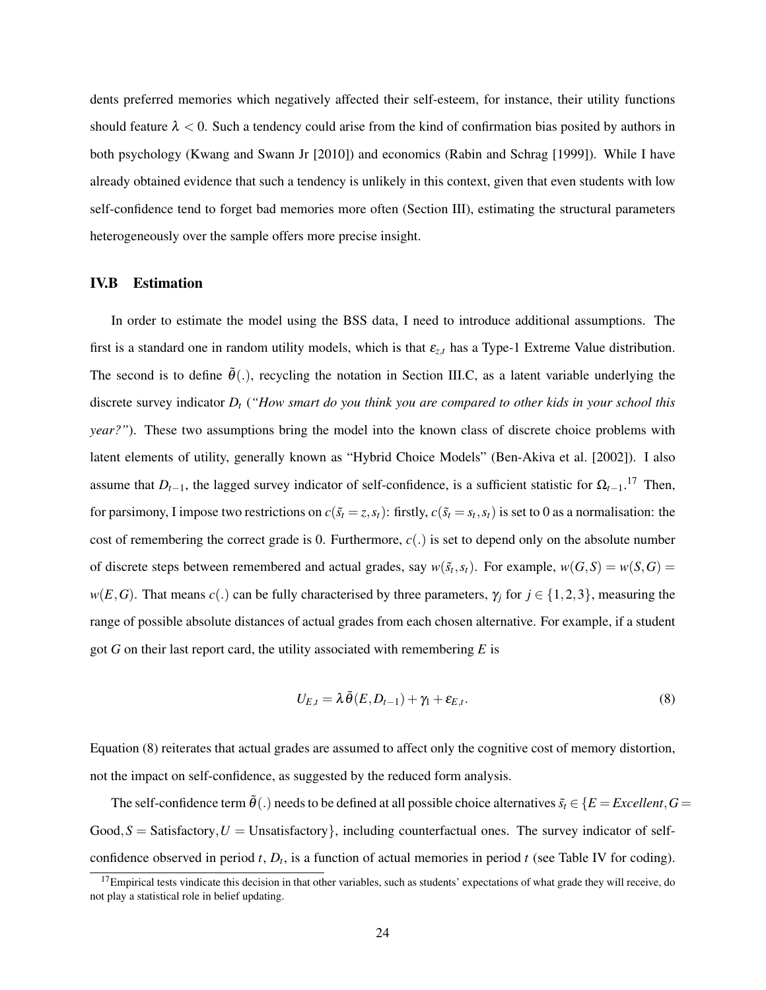dents preferred memories which negatively affected their self-esteem, for instance, their utility functions should feature  $\lambda < 0$ . Such a tendency could arise from the kind of confirmation bias posited by authors in both psychology (Kwang and Swann Jr [\[2010\]](#page-39-7)) and economics (Rabin and Schrag [\[1999\]](#page-39-3)). While I have already obtained evidence that such a tendency is unlikely in this context, given that even students with low self-confidence tend to forget bad memories more often [\(Section III\)](#page-9-2), estimating the structural parameters heterogeneously over the sample offers more precise insight.

#### IV.B Estimation

In order to estimate the model using the BSS data, I need to introduce additional assumptions. The first is a standard one in random utility models, which is that  $\varepsilon_{z,t}$  has a Type-1 Extreme Value distribution. The second is to define  $\tilde{\theta}$ (.), recycling the notation in [Section III.C,](#page-19-3) as a latent variable underlying the discrete survey indicator *D<sup>t</sup>* (*"How smart do you think you are compared to other kids in your school this year?"*). These two assumptions bring the model into the known class of discrete choice problems with latent elements of utility, generally known as "Hybrid Choice Models" (Ben-Akiva et al. [\[2002\]](#page-37-13)). I also assume that  $D_{t-1}$ , the lagged survey indicator of self-confidence, is a sufficient statistic for  $\Omega_{t-1}$ .<sup>17</sup> Then, for parsimony, I impose two restrictions on  $c(\tilde{s}_t = z, s_t)$ : firstly,  $c(\tilde{s}_t = s_t, s_t)$  is set to 0 as a normalisation: the cost of remembering the correct grade is 0. Furthermore,  $c(.)$  is set to depend only on the absolute number of discrete steps between remembered and actual grades, say  $w(\tilde{s}_t, s_t)$ . For example,  $w(G, S) = w(S, G)$  $w(E, G)$ . That means *c*(.) can be fully characterised by three parameters,  $\gamma_j$  for  $j \in \{1, 2, 3\}$ , measuring the range of possible absolute distances of actual grades from each chosen alternative. For example, if a student got *G* on their last report card, the utility associated with remembering *E* is

<span id="page-24-0"></span>
$$
U_{E,t} = \lambda \tilde{\theta}(E, D_{t-1}) + \gamma_1 + \varepsilon_{E,t}.
$$
\n(8)

[Equation \(8\)](#page-24-0) reiterates that actual grades are assumed to affect only the cognitive cost of memory distortion, not the impact on self-confidence, as suggested by the reduced form analysis.

The self-confidence term  $\tilde{\theta}$ (.) needs to be defined at all possible choice alternatives  $\tilde{s}_t \in \{E = Excelent, G =$  $Good, S = S \text{atisfactory}, U = \text{Unsatisfactory}$ , including counterfactual ones. The survey indicator of selfconfidence observed in period  $t$ ,  $D_t$ , is a function of actual memories in period  $t$  (see [Table IV](#page-10-0) for coding).

 $17$ Empirical tests vindicate this decision in that other variables, such as students' expectations of what grade they will receive, do not play a statistical role in belief updating.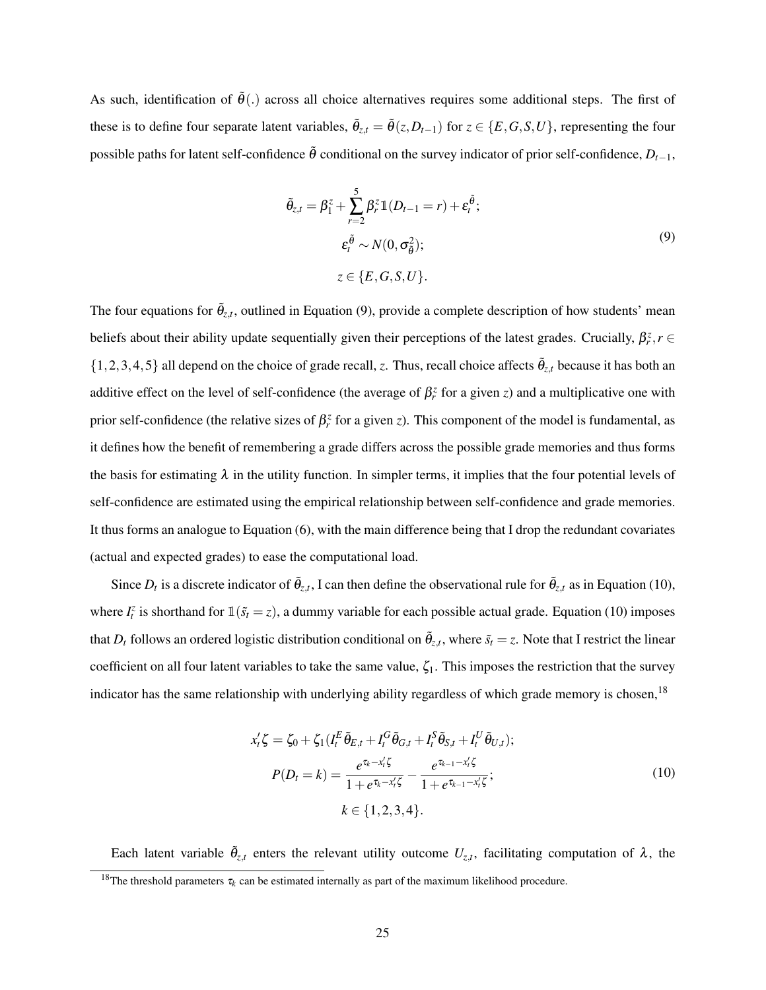<span id="page-25-0"></span>As such, identification of  $\tilde{\theta}$ .) across all choice alternatives requires some additional steps. The first of these is to define four separate latent variables,  $\tilde{\theta}_{z,t} = \tilde{\theta}(z, D_{t-1})$  for  $z \in \{E, G, S, U\}$ , representing the four possible paths for latent self-confidence  $\tilde{\theta}$  conditional on the survey indicator of prior self-confidence,  $D_{t-1}$ ,

$$
\tilde{\theta}_{z,t} = \beta_1^z + \sum_{r=2}^5 \beta_r^z \mathbb{1}(D_{t-1} = r) + \varepsilon_t^{\tilde{\theta}};
$$
\n
$$
\varepsilon_t^{\tilde{\theta}} \sim N(0, \sigma_{\tilde{\theta}}^2);
$$
\n
$$
z \in \{E, G, S, U\}.
$$
\n(9)

The four equations for  $\tilde{\theta}_{z,t}$ , outlined in [Equation \(9\),](#page-25-0) provide a complete description of how students' mean beliefs about their ability update sequentially given their perceptions of the latest grades. Crucially,  $\beta_r^z$ ,  $r \in$  $\{1,2,3,4,5\}$  all depend on the choice of grade recall, *z*. Thus, recall choice affects  $\tilde{\theta}_{z,t}$  because it has both an additive effect on the level of self-confidence (the average of  $\beta_r^z$  for a given *z*) and a multiplicative one with prior self-confidence (the relative sizes of  $\beta_r^z$  for a given *z*). This component of the model is fundamental, as it defines how the benefit of remembering a grade differs across the possible grade memories and thus forms the basis for estimating  $\lambda$  in the utility function. In simpler terms, it implies that the four potential levels of self-confidence are estimated using the empirical relationship between self-confidence and grade memories. It thus forms an analogue to [Equation \(6\),](#page-19-1) with the main difference being that I drop the redundant covariates (actual and expected grades) to ease the computational load.

Since  $D_t$  is a discrete indicator of  $\tilde{\theta}_{z,t}$ , I can then define the observational rule for  $\tilde{\theta}_{z,t}$  as in [Equation \(10\),](#page-25-1) where  $I_t^z$  is shorthand for  $\mathbb{1}(\tilde{s}_t = z)$ , a dummy variable for each possible actual grade. [Equation \(10\)](#page-25-1) imposes that  $D_t$  follows an ordered logistic distribution conditional on  $\tilde{\theta}_{z,t}$ , where  $\tilde{s}_t = z$ . Note that I restrict the linear coefficient on all four latent variables to take the same value,  $\zeta_1$ . This imposes the restriction that the survey indicator has the same relationship with underlying ability regardless of which grade memory is chosen,<sup>18</sup>

<span id="page-25-1"></span>
$$
x'_{t}\zeta = \zeta_{0} + \zeta_{1}(I_{t}^{E}\tilde{\theta}_{E,t} + I_{t}^{G}\tilde{\theta}_{G,t} + I_{t}^{S}\tilde{\theta}_{S,t} + I_{t}^{U}\tilde{\theta}_{U,t});
$$
  
\n
$$
P(D_{t} = k) = \frac{e^{\tau_{k} - x'_{t}\zeta}}{1 + e^{\tau_{k} - x'_{t}\zeta}} - \frac{e^{\tau_{k-1} - x'_{t}\zeta}}{1 + e^{\tau_{k-1} - x'_{t}\zeta}};
$$
\n
$$
k \in \{1, 2, 3, 4\}.
$$
\n(10)

Each latent variable  $\tilde{\theta}_{z,t}$  enters the relevant utility outcome  $U_{z,t}$ , facilitating computation of  $\lambda$ , the <sup>18</sup>The threshold parameters  $\tau_k$  can be estimated internally as part of the maximum likelihood procedure.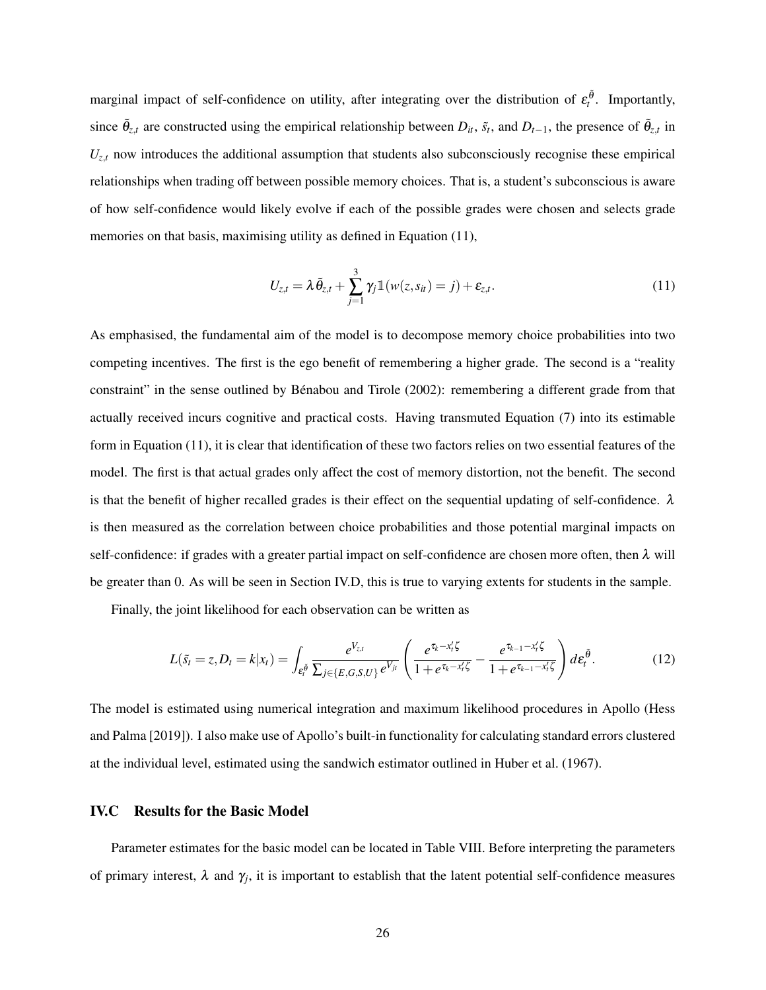marginal impact of self-confidence on utility, after integrating over the distribution of  $\varepsilon_t^{\tilde{\theta}}$ . Importantly, since  $\tilde{\theta}_{z,t}$  are constructed using the empirical relationship between  $D_{it}$ ,  $\tilde{s}_t$ , and  $D_{t-1}$ , the presence of  $\tilde{\theta}_{z,t}$  in  $U_{z,t}$  now introduces the additional assumption that students also subconsciously recognise these empirical relationships when trading off between possible memory choices. That is, a student's subconscious is aware of how self-confidence would likely evolve if each of the possible grades were chosen and selects grade memories on that basis, maximising utility as defined in [Equation \(11\),](#page-26-0)

<span id="page-26-0"></span>
$$
U_{z,t} = \lambda \tilde{\theta}_{z,t} + \sum_{j=1}^{3} \gamma_j \mathbb{1}(w(z,s_{it}) = j) + \varepsilon_{z,t}.
$$
\n(11)

As emphasised, the fundamental aim of the model is to decompose memory choice probabilities into two competing incentives. The first is the ego benefit of remembering a higher grade. The second is a "reality constraint" in the sense outlined by Bénabou and Tirole [\(2002\)](#page-37-0): remembering a different grade from that actually received incurs cognitive and practical costs. Having transmuted [Equation \(7\)](#page-23-1) into its estimable form in [Equation \(11\),](#page-26-0) it is clear that identification of these two factors relies on two essential features of the model. The first is that actual grades only affect the cost of memory distortion, not the benefit. The second is that the benefit of higher recalled grades is their effect on the sequential updating of self-confidence.  $\lambda$ is then measured as the correlation between choice probabilities and those potential marginal impacts on self-confidence: if grades with a greater partial impact on self-confidence are chosen more often, then  $\lambda$  will be greater than 0. As will be seen in [Section IV.D,](#page-28-0) this is true to varying extents for students in the sample.

Finally, the joint likelihood for each observation can be written as

$$
L(\tilde{s}_t = z, D_t = k | x_t) = \int_{\varepsilon_t^{\tilde{\theta}}} \frac{e^{V_{z,t}}}{\sum_{j \in \{E, G, S, U\}} e^{V_{jt}}} \left( \frac{e^{\tau_k - x_t' \zeta}}{1 + e^{\tau_k - x_t' \zeta}} - \frac{e^{\tau_{k-1} - x_t' \zeta}}{1 + e^{\tau_{k-1} - x_t' \zeta}} \right) d\varepsilon_t^{\tilde{\theta}}.
$$
(12)

The model is estimated using numerical integration and maximum likelihood procedures in Apollo (Hess and Palma [\[2019\]](#page-38-12)). I also make use of Apollo's built-in functionality for calculating standard errors clustered at the individual level, estimated using the sandwich estimator outlined in Huber et al. [\(1967\)](#page-38-13).

#### IV.C Results for the Basic Model

Parameter estimates for the basic model can be located in [Table VIII.](#page-33-0) Before interpreting the parameters of primary interest,  $\lambda$  and  $\gamma_j$ , it is important to establish that the latent potential self-confidence measures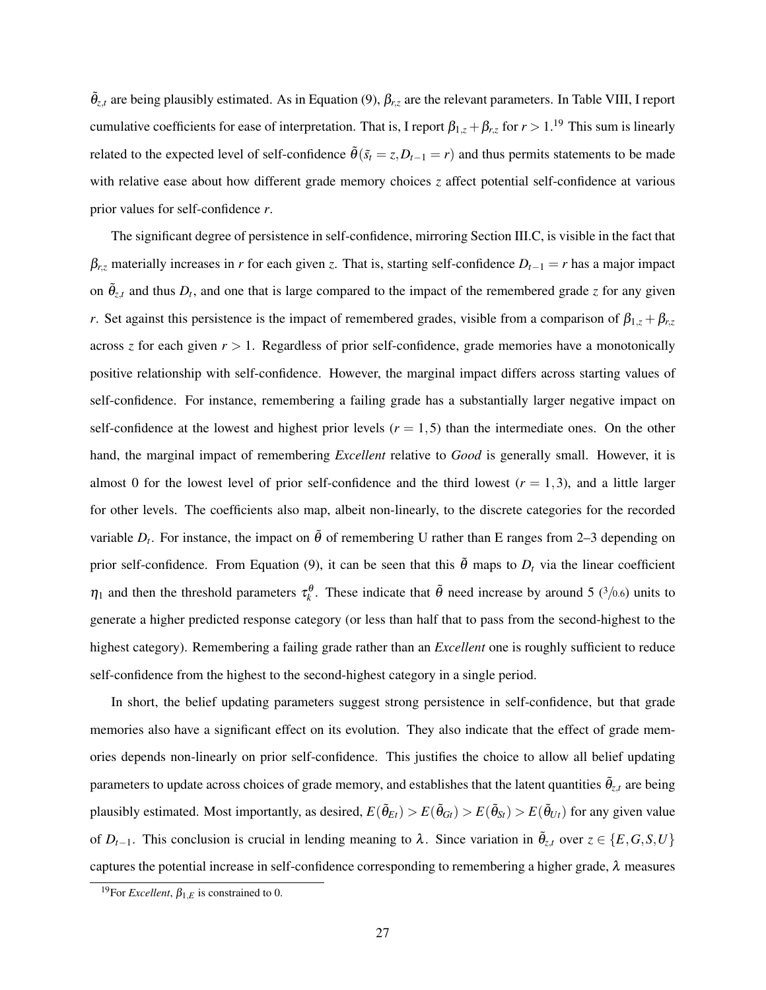$\tilde{\theta}_{z,t}$  are being plausibly estimated. As in [Equation \(9\),](#page-25-0)  $\beta_{r,z}$  are the relevant parameters. In [Table VIII,](#page-33-0) I report cumulative coefficients for ease of interpretation. That is, I report  $\beta_{1,z} + \beta_{r,z}$  for  $r > 1$ .<sup>19</sup> This sum is linearly related to the expected level of self-confidence  $\tilde{\theta}$ ( $\tilde{s}_t = z$ ,  $D_{t-1} = r$ ) and thus permits statements to be made with relative ease about how different grade memory choices *z* affect potential self-confidence at various prior values for self-confidence *r*.

The significant degree of persistence in self-confidence, mirroring [Section III.C,](#page-19-3) is visible in the fact that  $\beta_{r,z}$  materially increases in *r* for each given *z*. That is, starting self-confidence  $D_{t-1} = r$  has a major impact on  $\tilde{\theta}_{z,t}$  and thus  $D_t$ , and one that is large compared to the impact of the remembered grade *z* for any given *r*. Set against this persistence is the impact of remembered grades, visible from a comparison of  $\beta_{1,z} + \beta_{r,z}$ across *z* for each given  $r > 1$ . Regardless of prior self-confidence, grade memories have a monotonically positive relationship with self-confidence. However, the marginal impact differs across starting values of self-confidence. For instance, remembering a failing grade has a substantially larger negative impact on self-confidence at the lowest and highest prior levels  $(r = 1, 5)$  than the intermediate ones. On the other hand, the marginal impact of remembering *Excellent* relative to *Good* is generally small. However, it is almost 0 for the lowest level of prior self-confidence and the third lowest  $(r = 1, 3)$ , and a little larger for other levels. The coefficients also map, albeit non-linearly, to the discrete categories for the recorded variable  $D_t$ . For instance, the impact on  $\tilde{\theta}$  of remembering U rather than E ranges from 2–3 depending on prior self-confidence. From [Equation \(9\),](#page-25-0) it can be seen that this  $\tilde{\theta}$  maps to  $D_t$  via the linear coefficient  $\eta_1$  and then the threshold parameters  $\tau_k^{\theta}$ . These indicate that  $\tilde{\theta}$  need increase by around 5 (3/0.6) units to generate a higher predicted response category (or less than half that to pass from the second-highest to the highest category). Remembering a failing grade rather than an *Excellent* one is roughly sufficient to reduce self-confidence from the highest to the second-highest category in a single period.

In short, the belief updating parameters suggest strong persistence in self-confidence, but that grade memories also have a significant effect on its evolution. They also indicate that the effect of grade memories depends non-linearly on prior self-confidence. This justifies the choice to allow all belief updating parameters to update across choices of grade memory, and establishes that the latent quantities  $\tilde{\theta}_{z,t}$  are being plausibly estimated. Most importantly, as desired,  $E(\tilde{\theta}_{Et}) > E(\tilde{\theta}_{Gt}) > E(\tilde{\theta}_{St}) > E(\tilde{\theta}_{Ut})$  for any given value of  $D_{t-1}$ . This conclusion is crucial in lending meaning to  $\lambda$ . Since variation in  $\tilde{\theta}_{z,t}$  over  $z \in \{E, G, S, U\}$ captures the potential increase in self-confidence corresponding to remembering a higher grade,  $\lambda$  measures

<sup>&</sup>lt;sup>19</sup>For *Excellent*,  $\beta_{1,E}$  is constrained to 0.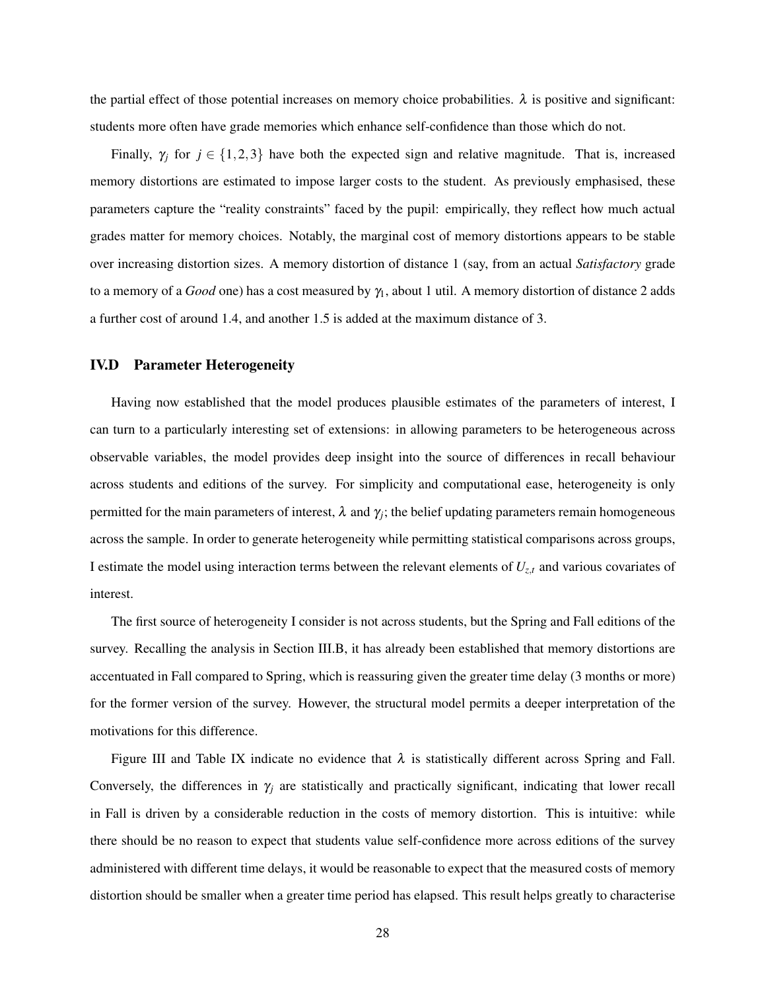the partial effect of those potential increases on memory choice probabilities.  $\lambda$  is positive and significant: students more often have grade memories which enhance self-confidence than those which do not.

Finally,  $\gamma_i$  for  $j \in \{1,2,3\}$  have both the expected sign and relative magnitude. That is, increased memory distortions are estimated to impose larger costs to the student. As previously emphasised, these parameters capture the "reality constraints" faced by the pupil: empirically, they reflect how much actual grades matter for memory choices. Notably, the marginal cost of memory distortions appears to be stable over increasing distortion sizes. A memory distortion of distance 1 (say, from an actual *Satisfactory* grade to a memory of a *Good* one) has a cost measured by γ<sub>1</sub>, about 1 util. A memory distortion of distance 2 adds a further cost of around 1.4, and another 1.5 is added at the maximum distance of 3.

#### <span id="page-28-0"></span>IV.D Parameter Heterogeneity

Having now established that the model produces plausible estimates of the parameters of interest, I can turn to a particularly interesting set of extensions: in allowing parameters to be heterogeneous across observable variables, the model provides deep insight into the source of differences in recall behaviour across students and editions of the survey. For simplicity and computational ease, heterogeneity is only permitted for the main parameters of interest,  $\lambda$  and  $\gamma_j$ ; the belief updating parameters remain homogeneous across the sample. In order to generate heterogeneity while permitting statistical comparisons across groups, I estimate the model using interaction terms between the relevant elements of *Uz*,*<sup>t</sup>* and various covariates of interest.

The first source of heterogeneity I consider is not across students, but the Spring and Fall editions of the survey. Recalling the analysis in [Section III.B,](#page-15-0) it has already been established that memory distortions are accentuated in Fall compared to Spring, which is reassuring given the greater time delay (3 months or more) for the former version of the survey. However, the structural model permits a deeper interpretation of the motivations for this difference.

[Figure III](#page-29-0) and [Table IX](#page-34-0) indicate no evidence that  $\lambda$  is statistically different across Spring and Fall. Conversely, the differences in  $\gamma_j$  are statistically and practically significant, indicating that lower recall in Fall is driven by a considerable reduction in the costs of memory distortion. This is intuitive: while there should be no reason to expect that students value self-confidence more across editions of the survey administered with different time delays, it would be reasonable to expect that the measured costs of memory distortion should be smaller when a greater time period has elapsed. This result helps greatly to characterise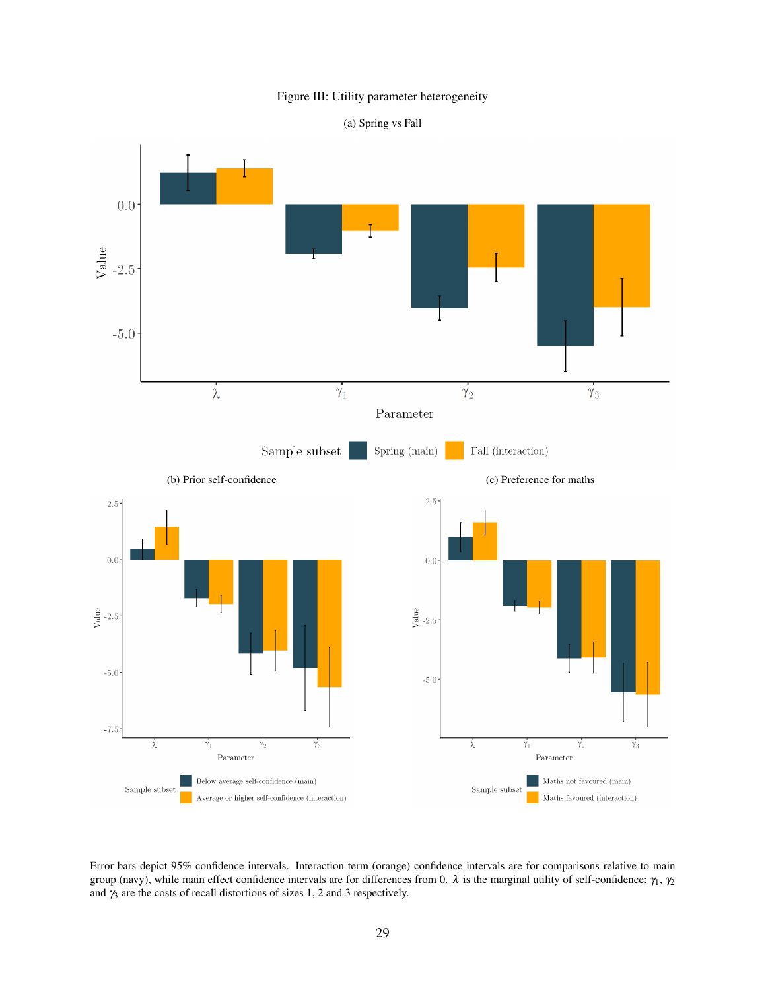#### Figure III: Utility parameter heterogeneity



<span id="page-29-0"></span>

Error bars depict 95% confidence intervals. Interaction term (orange) confidence intervals are for comparisons relative to main group (navy), while main effect confidence intervals are for differences from 0. λ is the marginal utility of self-confidence;  $γ_1$ ,  $γ_2$ and  $\gamma_3$  are the costs of recall distortions of sizes 1, 2 and 3 respectively.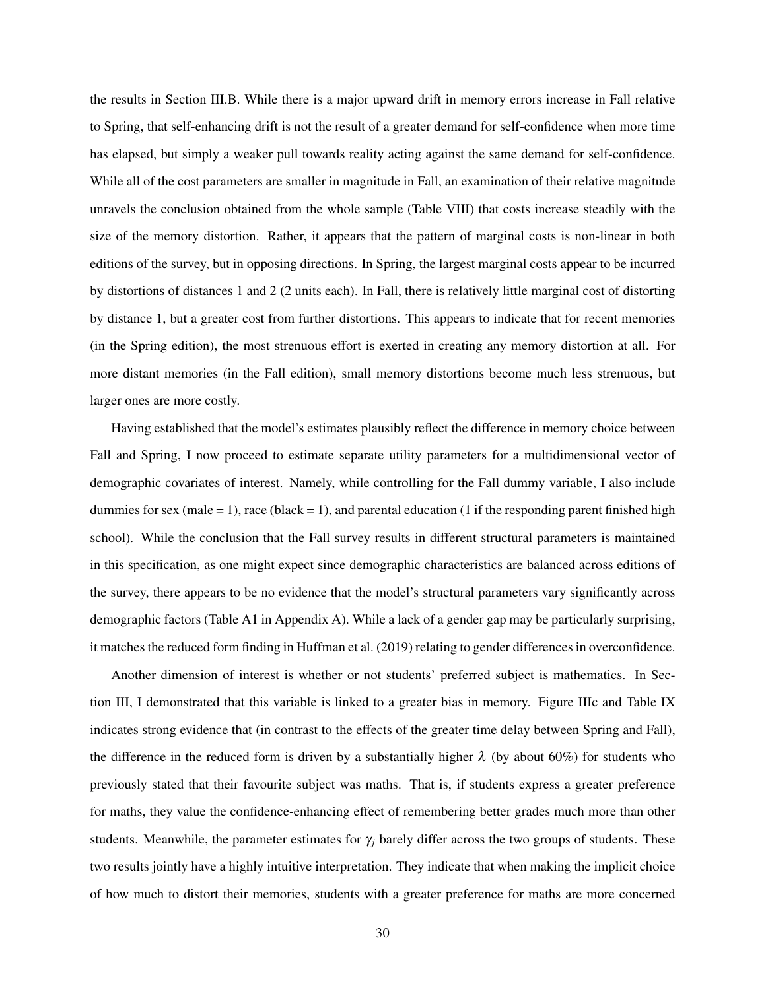the results in [Section III.B.](#page-15-0) While there is a major upward drift in memory errors increase in Fall relative to Spring, that self-enhancing drift is not the result of a greater demand for self-confidence when more time has elapsed, but simply a weaker pull towards reality acting against the same demand for self-confidence. While all of the cost parameters are smaller in magnitude in Fall, an examination of their relative magnitude unravels the conclusion obtained from the whole sample [\(Table VIII\)](#page-33-0) that costs increase steadily with the size of the memory distortion. Rather, it appears that the pattern of marginal costs is non-linear in both editions of the survey, but in opposing directions. In Spring, the largest marginal costs appear to be incurred by distortions of distances 1 and 2 (2 units each). In Fall, there is relatively little marginal cost of distorting by distance 1, but a greater cost from further distortions. This appears to indicate that for recent memories (in the Spring edition), the most strenuous effort is exerted in creating any memory distortion at all. For more distant memories (in the Fall edition), small memory distortions become much less strenuous, but larger ones are more costly.

Having established that the model's estimates plausibly reflect the difference in memory choice between Fall and Spring, I now proceed to estimate separate utility parameters for a multidimensional vector of demographic covariates of interest. Namely, while controlling for the Fall dummy variable, I also include dummies for sex (male  $= 1$ ), race (black  $= 1$ ), and parental education (1 if the responding parent finished high school). While the conclusion that the Fall survey results in different structural parameters is maintained in this specification, as one might expect since demographic characteristics are balanced across editions of the survey, there appears to be no evidence that the model's structural parameters vary significantly across demographic factors [\(Table A1](#page-41-0) in [Appendix A\)](#page-40-1). While a lack of a gender gap may be particularly surprising, it matches the reduced form finding in Huffman et al. [\(2019\)](#page-38-2) relating to gender differences in overconfidence.

Another dimension of interest is whether or not students' preferred subject is mathematics. In [Sec](#page-9-2)[tion III,](#page-9-2) I demonstrated that this variable is linked to a greater bias in memory. [Figure IIIc](#page-29-0) and [Table IX](#page-34-0) indicates strong evidence that (in contrast to the effects of the greater time delay between Spring and Fall), the difference in the reduced form is driven by a substantially higher  $\lambda$  (by about 60%) for students who previously stated that their favourite subject was maths. That is, if students express a greater preference for maths, they value the confidence-enhancing effect of remembering better grades much more than other students. Meanwhile, the parameter estimates for  $\gamma_i$  barely differ across the two groups of students. These two results jointly have a highly intuitive interpretation. They indicate that when making the implicit choice of how much to distort their memories, students with a greater preference for maths are more concerned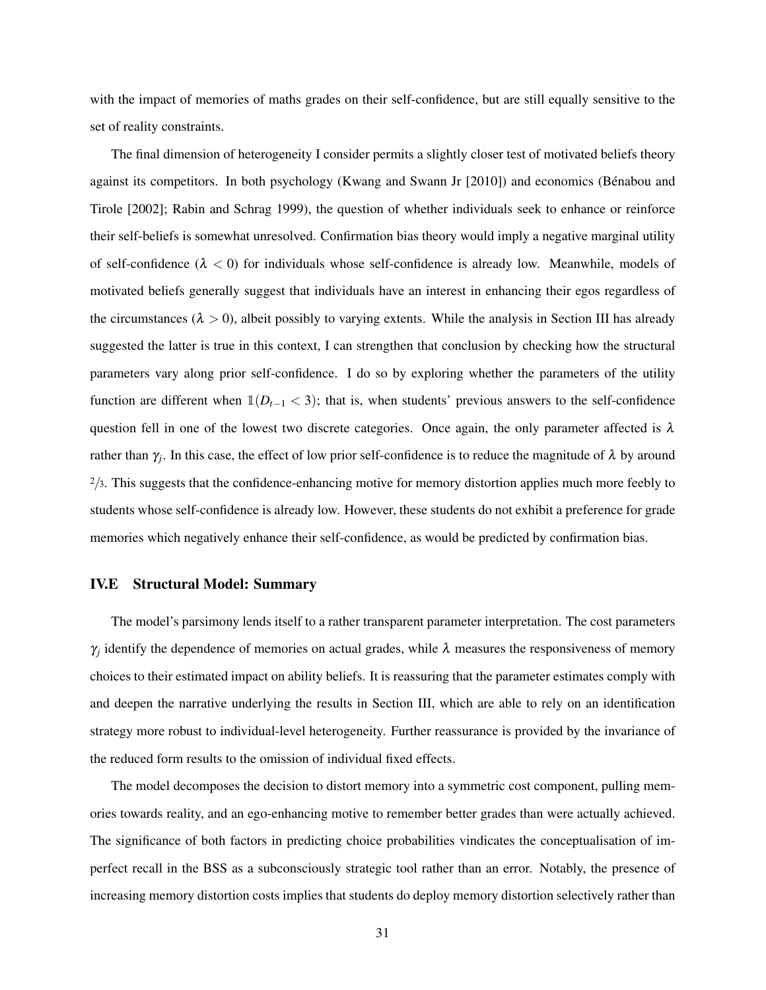with the impact of memories of maths grades on their self-confidence, but are still equally sensitive to the set of reality constraints.

The final dimension of heterogeneity I consider permits a slightly closer test of motivated beliefs theory against its competitors. In both psychology (Kwang and Swann Jr [\[2010\]](#page-39-7)) and economics (Bénabou and Tirole [\[2002\]](#page-37-0); Rabin and Schrag [1999\)](#page-39-3), the question of whether individuals seek to enhance or reinforce their self-beliefs is somewhat unresolved. Confirmation bias theory would imply a negative marginal utility of self-confidence  $(\lambda < 0)$  for individuals whose self-confidence is already low. Meanwhile, models of motivated beliefs generally suggest that individuals have an interest in enhancing their egos regardless of the circumstances ( $\lambda > 0$ ), albeit possibly to varying extents. While the analysis in [Section III](#page-9-2) has already suggested the latter is true in this context, I can strengthen that conclusion by checking how the structural parameters vary along prior self-confidence. I do so by exploring whether the parameters of the utility function are different when  $\mathbb{1}(D_{t-1} < 3)$ ; that is, when students' previous answers to the self-confidence question fell in one of the lowest two discrete categories. Once again, the only parameter affected is  $\lambda$ rather than  $\gamma_j$ . In this case, the effect of low prior self-confidence is to reduce the magnitude of  $\lambda$  by around  $\frac{2}{3}$ . This suggests that the confidence-enhancing motive for memory distortion applies much more feebly to students whose self-confidence is already low. However, these students do not exhibit a preference for grade memories which negatively enhance their self-confidence, as would be predicted by confirmation bias.

#### IV.E Structural Model: Summary

The model's parsimony lends itself to a rather transparent parameter interpretation. The cost parameters  $\gamma_j$  identify the dependence of memories on actual grades, while  $\lambda$  measures the responsiveness of memory choices to their estimated impact on ability beliefs. It is reassuring that the parameter estimates comply with and deepen the narrative underlying the results in [Section III,](#page-9-2) which are able to rely on an identification strategy more robust to individual-level heterogeneity. Further reassurance is provided by the invariance of the reduced form results to the omission of individual fixed effects.

The model decomposes the decision to distort memory into a symmetric cost component, pulling memories towards reality, and an ego-enhancing motive to remember better grades than were actually achieved. The significance of both factors in predicting choice probabilities vindicates the conceptualisation of imperfect recall in the BSS as a subconsciously strategic tool rather than an error. Notably, the presence of increasing memory distortion costs implies that students do deploy memory distortion selectively rather than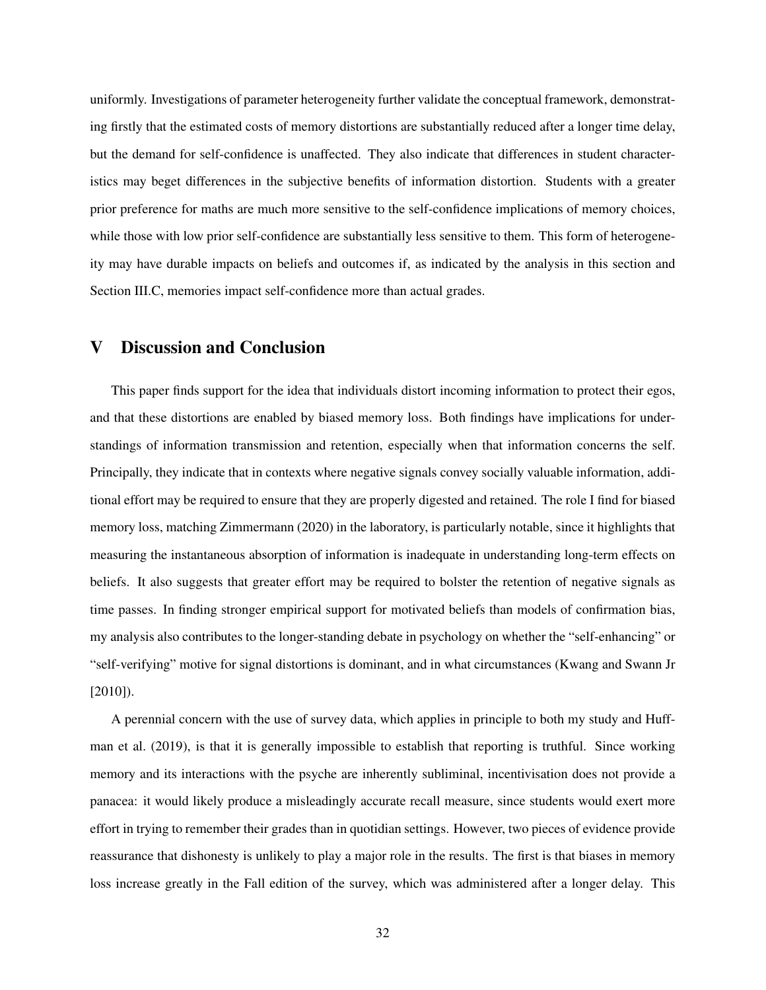uniformly. Investigations of parameter heterogeneity further validate the conceptual framework, demonstrating firstly that the estimated costs of memory distortions are substantially reduced after a longer time delay, but the demand for self-confidence is unaffected. They also indicate that differences in student characteristics may beget differences in the subjective benefits of information distortion. Students with a greater prior preference for maths are much more sensitive to the self-confidence implications of memory choices, while those with low prior self-confidence are substantially less sensitive to them. This form of heterogeneity may have durable impacts on beliefs and outcomes if, as indicated by the analysis in this section and [Section III.C,](#page-19-3) memories impact self-confidence more than actual grades.

### V Discussion and Conclusion

This paper finds support for the idea that individuals distort incoming information to protect their egos, and that these distortions are enabled by biased memory loss. Both findings have implications for understandings of information transmission and retention, especially when that information concerns the self. Principally, they indicate that in contexts where negative signals convey socially valuable information, additional effort may be required to ensure that they are properly digested and retained. The role I find for biased memory loss, matching Zimmermann [\(2020\)](#page-39-4) in the laboratory, is particularly notable, since it highlights that measuring the instantaneous absorption of information is inadequate in understanding long-term effects on beliefs. It also suggests that greater effort may be required to bolster the retention of negative signals as time passes. In finding stronger empirical support for motivated beliefs than models of confirmation bias, my analysis also contributes to the longer-standing debate in psychology on whether the "self-enhancing" or "self-verifying" motive for signal distortions is dominant, and in what circumstances (Kwang and Swann Jr [\[2010\]](#page-39-7)).

A perennial concern with the use of survey data, which applies in principle to both my study and Huffman et al. [\(2019\)](#page-38-2), is that it is generally impossible to establish that reporting is truthful. Since working memory and its interactions with the psyche are inherently subliminal, incentivisation does not provide a panacea: it would likely produce a misleadingly accurate recall measure, since students would exert more effort in trying to remember their grades than in quotidian settings. However, two pieces of evidence provide reassurance that dishonesty is unlikely to play a major role in the results. The first is that biases in memory loss increase greatly in the Fall edition of the survey, which was administered after a longer delay. This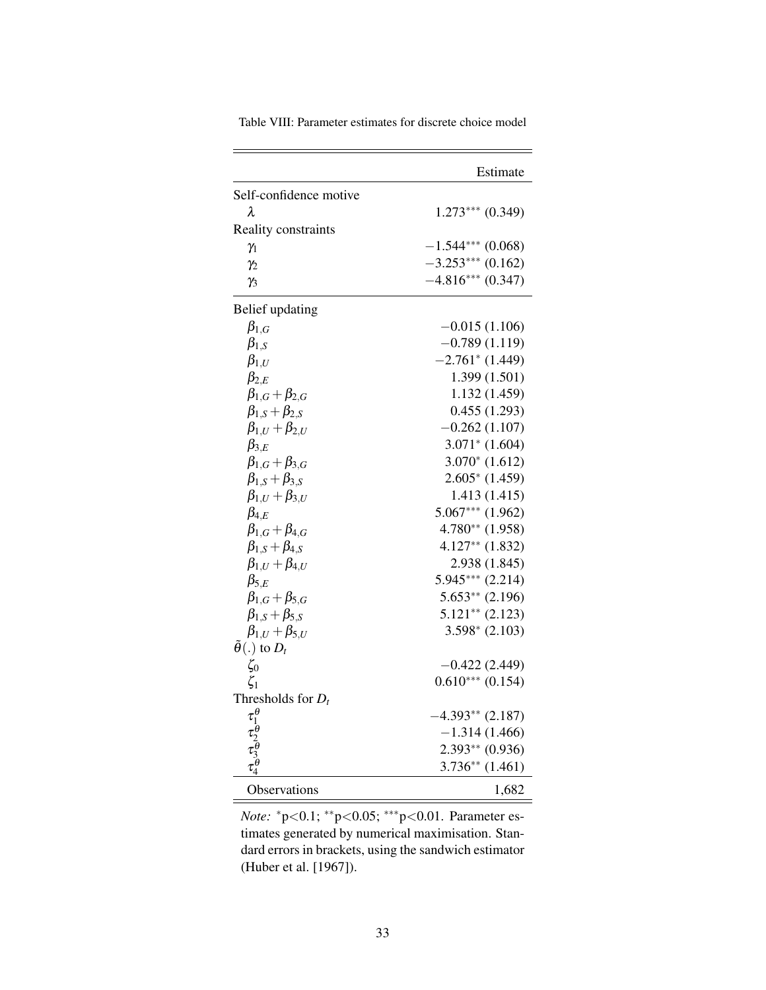<span id="page-33-0"></span>

|                                                           | Estimate                      |
|-----------------------------------------------------------|-------------------------------|
| Self-confidence motive                                    |                               |
| λ                                                         | $1.273***$ $(0.349)$          |
| Reality constraints                                       |                               |
| $\gamma_1$                                                | $-1.544***$ (0.068)           |
| $\gamma_2$                                                | $-3.253***$ (0.162)           |
| $\gamma_3$                                                | $-4.816***$ (0.347)           |
| Belief updating                                           |                               |
| $\beta_{1,G}$                                             | $-0.015(1.106)$               |
| $\beta_{1,S}$                                             | $-0.789(1.119)$               |
| $\beta_{1,U}$                                             | $-2.761$ <sup>*</sup> (1.449) |
| $\beta_{2,E}$                                             | 1.399 (1.501)                 |
| $\beta_{1,G}+\beta_{2,G}$                                 | 1.132 (1.459)                 |
| $\beta_{1,S}+\beta_{2,S}$                                 | 0.455(1.293)                  |
| $\beta_{1,U}+\beta_{2,U}$                                 | $-0.262(1.107)$               |
| $\beta_{3,E}$                                             | $3.071*$ (1.604)              |
| $\beta_{1,G}+\beta_{3,G}$                                 | $3.070*(1.612)$               |
| $\beta_{1,S}+\beta_{3,S}$                                 | $2.605*$ (1.459)              |
| $\beta_{1,U}+\beta_{3,U}$                                 | 1.413 (1.415)                 |
| $\beta_{4,E}$                                             | $5.067***$ (1.962)            |
| $\beta_{1,G}+\beta_{4,G}$                                 | $4.780**$ (1.958)             |
| $\beta_{1,S}+\beta_{4,S}$                                 | $4.127**$ $(1.832)$           |
| $\beta_{1,U}+\beta_{4,U}$                                 | 2.938 (1.845)                 |
| $\beta_{5,E}$                                             | $5.945***$ (2.214)            |
| $\beta_{1,G}+\beta_{5,G}$                                 | $5.653**$ (2.196)             |
| $\beta_{1,S} + \beta_{5,S}$                               | $5.121***$ (2.123)            |
| $\beta_{1,U} + \beta_{5,U}$                               | $3.598*$ (2.103)              |
| $\tilde{\theta}(.)$ to $D_t$                              |                               |
| $\zeta_0$                                                 | $-0.422(2.449)$               |
| $\zeta_1$                                                 | $0.610***$ $(0.154)$          |
| Thresholds for $D_t$                                      |                               |
| $\tau_1^\theta \tau_2^\theta \tau_3^\theta \tau_4^\theta$ | $-4.393**$ (2.187)            |
|                                                           | $-1.314(1.466)$               |
|                                                           | $2.393**$ (0.936)             |
|                                                           | $3.736**$ (1.461)             |
| Observations                                              | 1,682                         |

Table VIII: Parameter estimates for discrete choice model

*Note:* \*p<0.1; \*\*p<0.05; \*\*\*p<0.01. Parameter estimates generated by numerical maximisation. Standard errors in brackets, using the sandwich estimator (Huber et al. [\[1967\]](#page-38-13)).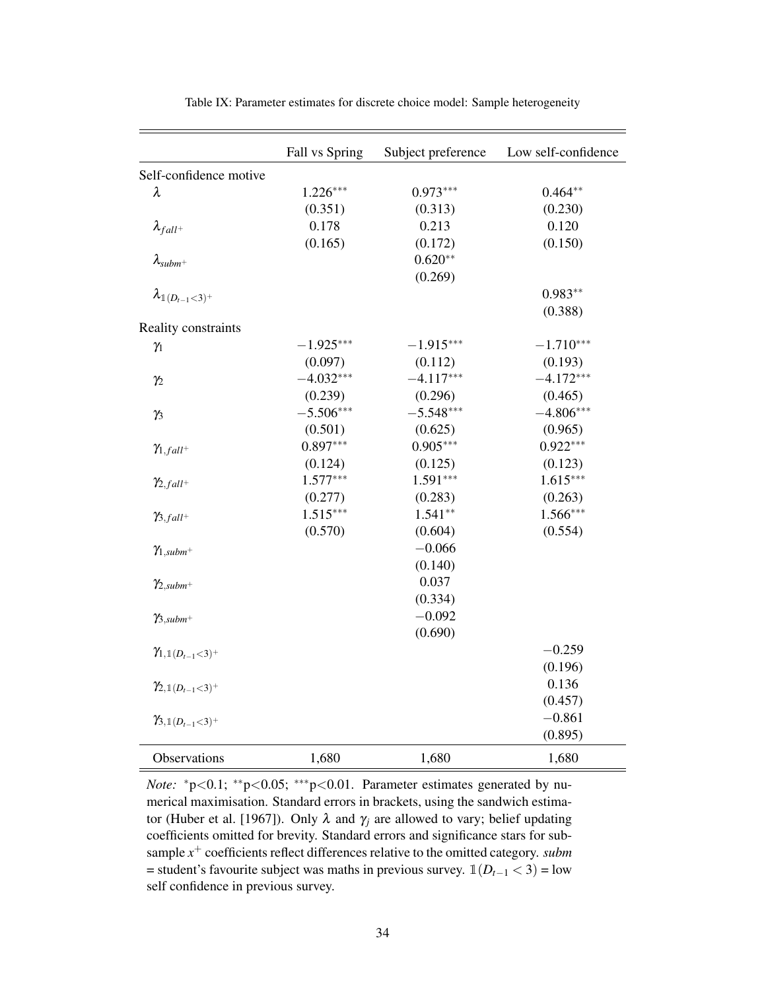<span id="page-34-0"></span>

|                                       | Fall vs Spring | Subject preference | Low self-confidence |
|---------------------------------------|----------------|--------------------|---------------------|
| Self-confidence motive                |                |                    |                     |
| $\lambda$                             | $1.226***$     | $0.973***$         | $0.464**$           |
|                                       | (0.351)        | (0.313)            | (0.230)             |
| $\lambda_{fall^+}$                    | 0.178          | 0.213              | 0.120               |
|                                       | (0.165)        | (0.172)            | (0.150)             |
| $\lambda$ <sub>subm</sub> +           |                | $0.620**$          |                     |
|                                       |                | (0.269)            |                     |
| $\lambda_{\mathbb{I}\,(D_{t-1}<3)^+}$ |                |                    | $0.983**$           |
|                                       |                |                    | (0.388)             |
| Reality constraints                   |                |                    |                     |
| $\gamma_1$                            | $-1.925***$    | $-1.915***$        | $-1.710***$         |
|                                       | (0.097)        | (0.112)            | (0.193)             |
| $\gamma_2$                            | $-4.032***$    | $-4.117***$        | $-4.172***$         |
|                                       | (0.239)        | (0.296)            | (0.465)             |
| $\gamma_3$                            | $-5.506***$    | $-5.548***$        | $-4.806***$         |
|                                       | (0.501)        | (0.625)            | (0.965)             |
| $\gamma_{1,fall}$ +                   | $0.897***$     | $0.905***$         | $0.922***$          |
|                                       | (0.124)        | (0.125)            | (0.123)             |
| $\gamma_{2,fall}$ +                   | $1.577***$     | $1.591***$         | $1.615***$          |
|                                       | (0.277)        | (0.283)            | (0.263)             |
| $\gamma_{3,fall}$ +                   | $1.515***$     | $1.541**$          | $1.566***$          |
|                                       | (0.570)        | (0.604)            | (0.554)             |
| $\gamma_{1,subm^+}$                   |                | $-0.066$           |                     |
|                                       |                | (0.140)            |                     |
| $\gamma_{2,subm^+}$                   |                | 0.037              |                     |
|                                       |                | (0.334)            |                     |
| $\gamma_{3,subm^+}$                   |                | $-0.092$           |                     |
|                                       |                | (0.690)            |                     |
| $\gamma_{1,1(D_{t-1}<3)^+}$           |                |                    | $-0.259$            |
|                                       |                |                    | (0.196)             |
| $\gamma_{2,1(D_{t-1}<3)^{+}}$         |                |                    | 0.136               |
|                                       |                |                    | (0.457)             |
| $\gamma_{3,1(D_{t-1}<3)^+}$           |                |                    | $-0.861$            |
|                                       |                |                    | (0.895)             |
| Observations                          | 1,680          | 1,680              | 1,680               |

Table IX: Parameter estimates for discrete choice model: Sample heterogeneity

*Note:*  $*p<0.1$ ;  $*p<0.05$ ;  $**p<0.01$ . Parameter estimates generated by numerical maximisation. Standard errors in brackets, using the sandwich estima-tor (Huber et al. [\[1967\]](#page-38-13)). Only  $\lambda$  and  $\gamma_j$  are allowed to vary; belief updating coefficients omitted for brevity. Standard errors and significance stars for subsample *x* <sup>+</sup> coefficients reflect differences relative to the omitted category. *subm* = student's favourite subject was maths in previous survey.  $\mathbb{1}(D_{t-1} < 3)$  = low self confidence in previous survey.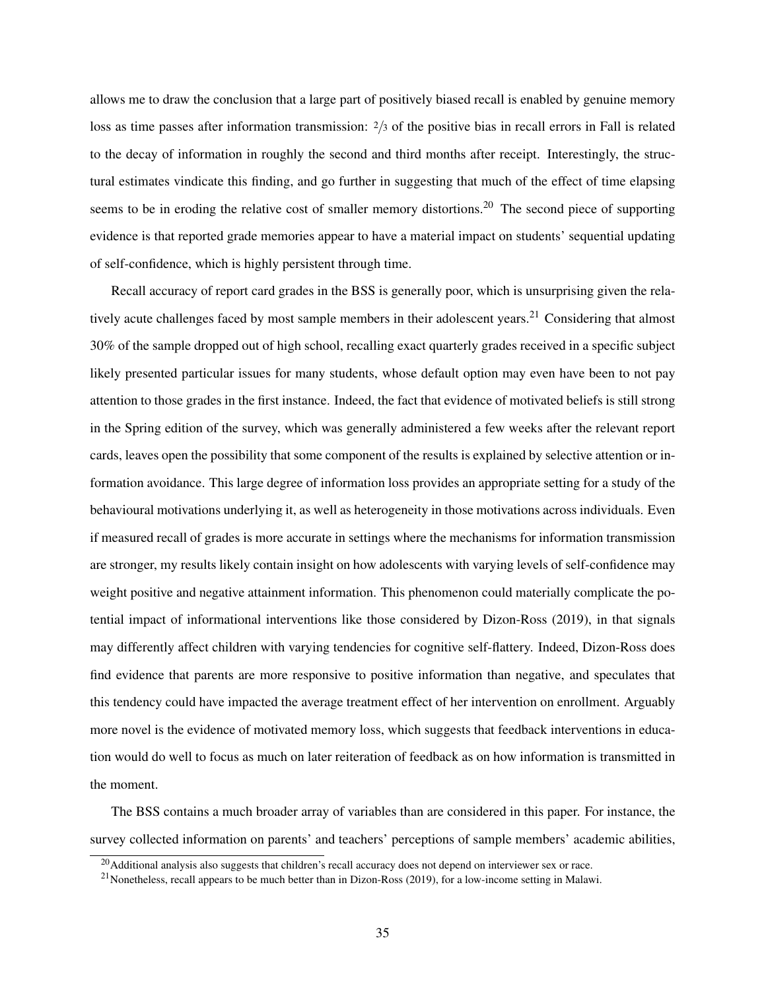allows me to draw the conclusion that a large part of positively biased recall is enabled by genuine memory loss as time passes after information transmission: <sup>2</sup>/3 of the positive bias in recall errors in Fall is related to the decay of information in roughly the second and third months after receipt. Interestingly, the structural estimates vindicate this finding, and go further in suggesting that much of the effect of time elapsing seems to be in eroding the relative cost of smaller memory distortions.<sup>20</sup> The second piece of supporting evidence is that reported grade memories appear to have a material impact on students' sequential updating of self-confidence, which is highly persistent through time.

Recall accuracy of report card grades in the BSS is generally poor, which is unsurprising given the relatively acute challenges faced by most sample members in their adolescent years.<sup>21</sup> Considering that almost 30% of the sample dropped out of high school, recalling exact quarterly grades received in a specific subject likely presented particular issues for many students, whose default option may even have been to not pay attention to those grades in the first instance. Indeed, the fact that evidence of motivated beliefs is still strong in the Spring edition of the survey, which was generally administered a few weeks after the relevant report cards, leaves open the possibility that some component of the results is explained by selective attention or information avoidance. This large degree of information loss provides an appropriate setting for a study of the behavioural motivations underlying it, as well as heterogeneity in those motivations across individuals. Even if measured recall of grades is more accurate in settings where the mechanisms for information transmission are stronger, my results likely contain insight on how adolescents with varying levels of self-confidence may weight positive and negative attainment information. This phenomenon could materially complicate the potential impact of informational interventions like those considered by Dizon-Ross [\(2019\)](#page-38-9), in that signals may differently affect children with varying tendencies for cognitive self-flattery. Indeed, Dizon-Ross does find evidence that parents are more responsive to positive information than negative, and speculates that this tendency could have impacted the average treatment effect of her intervention on enrollment. Arguably more novel is the evidence of motivated memory loss, which suggests that feedback interventions in education would do well to focus as much on later reiteration of feedback as on how information is transmitted in the moment.

The BSS contains a much broader array of variables than are considered in this paper. For instance, the survey collected information on parents' and teachers' perceptions of sample members' academic abilities,

 $20$ Additional analysis also suggests that children's recall accuracy does not depend on interviewer sex or race.

 $21$ Nonetheless, recall appears to be much better than in Dizon-Ross [\(2019\)](#page-38-9), for a low-income setting in Malawi.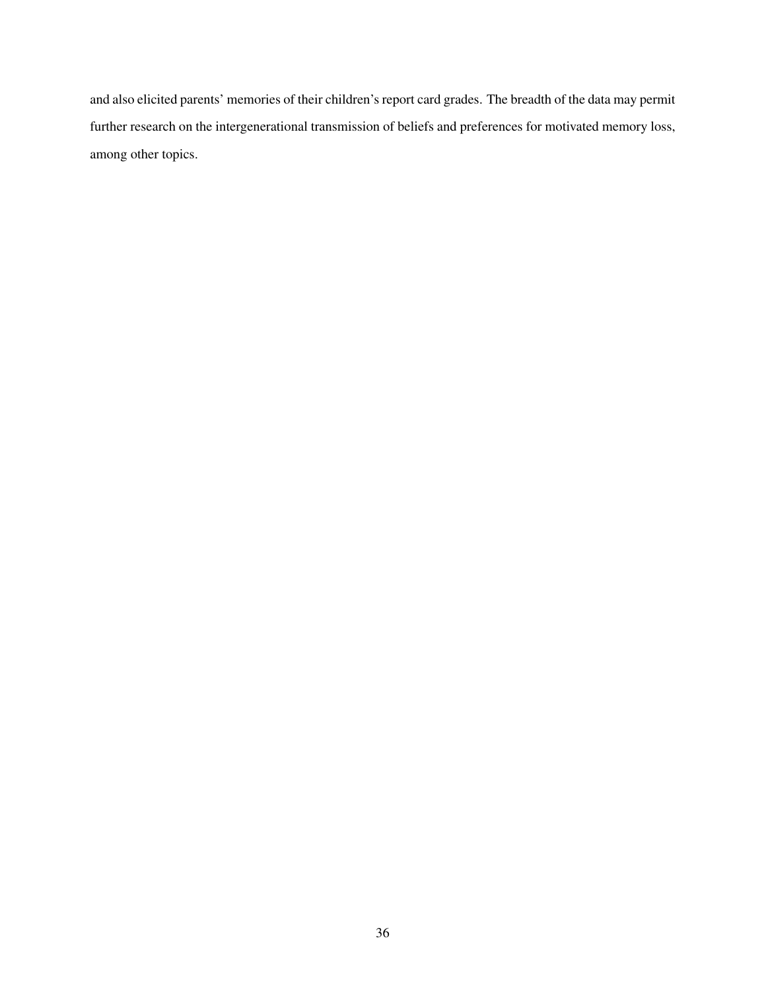and also elicited parents' memories of their children's report card grades. The breadth of the data may permit further research on the intergenerational transmission of beliefs and preferences for motivated memory loss, among other topics.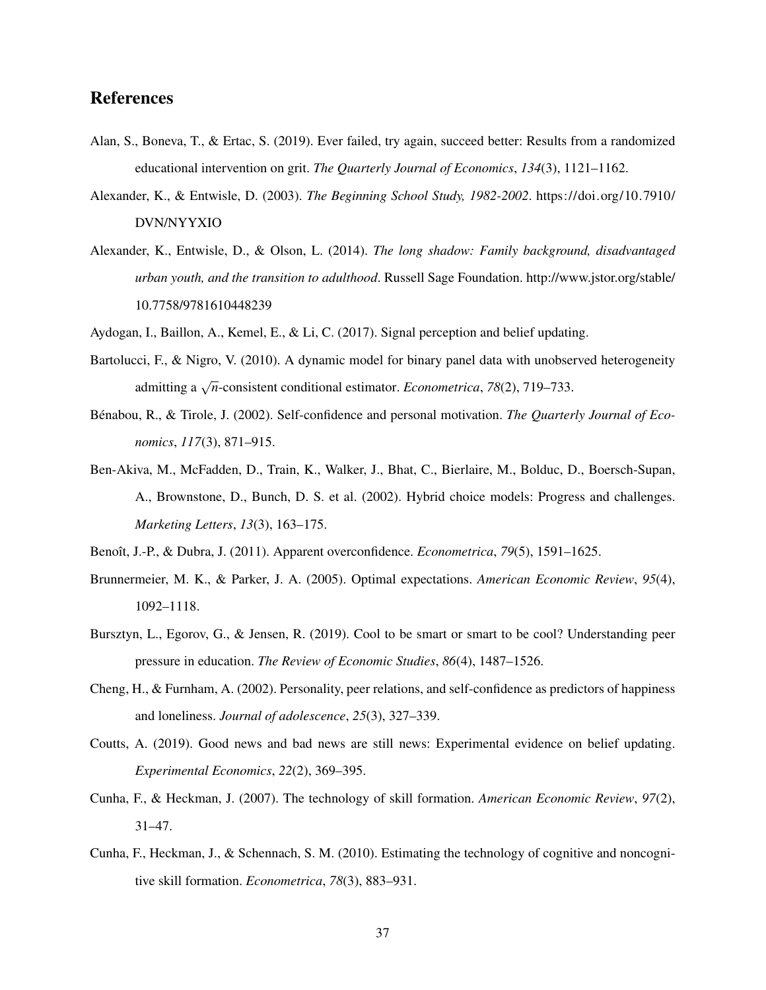### References

- <span id="page-37-7"></span>Alan, S., Boneva, T., & Ertac, S. (2019). Ever failed, try again, succeed better: Results from a randomized educational intervention on grit. *The Quarterly Journal of Economics*, *134*(3), 1121–1162.
- <span id="page-37-10"></span>Alexander, K., & Entwisle, D. (2003). *The Beginning School Study, 1982-2002*. [https://doi.org/10.7910/](https://doi.org/10.7910/DVN/NYYXIO) [DVN/NYYXIO](https://doi.org/10.7910/DVN/NYYXIO)
- <span id="page-37-9"></span>Alexander, K., Entwisle, D., & Olson, L. (2014). *The long shadow: Family background, disadvantaged urban youth, and the transition to adulthood*. Russell Sage Foundation. [http://www.jstor.org/stable/](http://www.jstor.org/stable/10.7758/9781610448239) [10.7758/9781610448239](http://www.jstor.org/stable/10.7758/9781610448239)
- <span id="page-37-12"></span><span id="page-37-3"></span>Aydogan, I., Baillon, A., Kemel, E., & Li, C. (2017). Signal perception and belief updating.
- Bartolucci, F., & Nigro, V. (2010). A dynamic model for binary panel data with unobserved heterogeneity admitting a <sup>√</sup> *n*-consistent conditional estimator. *Econometrica*, *78*(2), 719–733.
- <span id="page-37-0"></span>Bénabou, R., & Tirole, J. (2002). Self-confidence and personal motivation. *The Quarterly Journal of Economics*, *117*(3), 871–915.
- <span id="page-37-13"></span>Ben-Akiva, M., McFadden, D., Train, K., Walker, J., Bhat, C., Bierlaire, M., Bolduc, D., Boersch-Supan, A., Brownstone, D., Bunch, D. S. et al. (2002). Hybrid choice models: Progress and challenges. *Marketing Letters*, *13*(3), 163–175.
- <span id="page-37-2"></span><span id="page-37-1"></span>Benoˆıt, J.-P., & Dubra, J. (2011). Apparent overconfidence. *Econometrica*, *79*(5), 1591–1625.
- Brunnermeier, M. K., & Parker, J. A. (2005). Optimal expectations. *American Economic Review*, *95*(4), 1092–1118.
- <span id="page-37-8"></span>Bursztyn, L., Egorov, G., & Jensen, R. (2019). Cool to be smart or smart to be cool? Understanding peer pressure in education. *The Review of Economic Studies*, *86*(4), 1487–1526.
- <span id="page-37-11"></span>Cheng, H., & Furnham, A. (2002). Personality, peer relations, and self-confidence as predictors of happiness and loneliness. *Journal of adolescence*, *25*(3), 327–339.
- <span id="page-37-4"></span>Coutts, A. (2019). Good news and bad news are still news: Experimental evidence on belief updating. *Experimental Economics*, *22*(2), 369–395.
- <span id="page-37-5"></span>Cunha, F., & Heckman, J. (2007). The technology of skill formation. *American Economic Review*, *97*(2), 31–47.
- <span id="page-37-6"></span>Cunha, F., Heckman, J., & Schennach, S. M. (2010). Estimating the technology of cognitive and noncognitive skill formation. *Econometrica*, *78*(3), 883–931.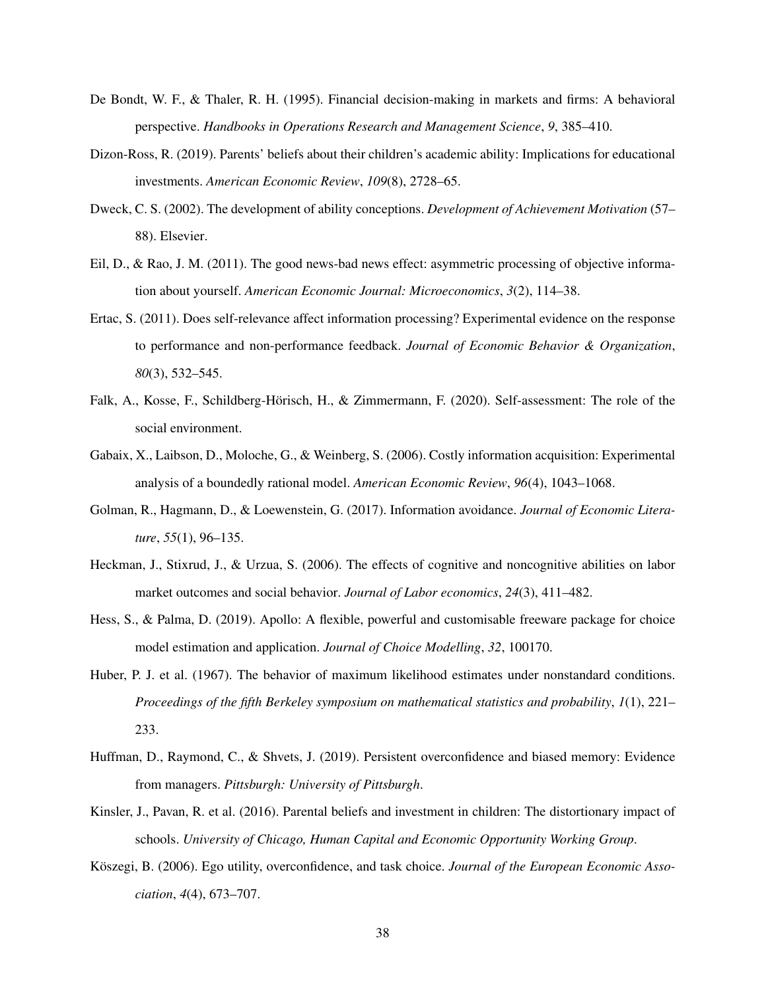- <span id="page-38-0"></span>De Bondt, W. F., & Thaler, R. H. (1995). Financial decision-making in markets and firms: A behavioral perspective. *Handbooks in Operations Research and Management Science*, *9*, 385–410.
- <span id="page-38-9"></span>Dizon-Ross, R. (2019). Parents' beliefs about their children's academic ability: Implications for educational investments. *American Economic Review*, *109*(8), 2728–65.
- <span id="page-38-8"></span>Dweck, C. S. (2002). The development of ability conceptions. *Development of Achievement Motivation* (57– 88). Elsevier.
- <span id="page-38-5"></span>Eil, D., & Rao, J. M. (2011). The good news-bad news effect: asymmetric processing of objective information about yourself. *American Economic Journal: Microeconomics*, *3*(2), 114–38.
- <span id="page-38-6"></span>Ertac, S. (2011). Does self-relevance affect information processing? Experimental evidence on the response to performance and non-performance feedback. *Journal of Economic Behavior & Organization*, *80*(3), 532–545.
- <span id="page-38-11"></span>Falk, A., Kosse, F., Schildberg-Hörisch, H., & Zimmermann, F. (2020). Self-assessment: The role of the social environment.
- <span id="page-38-3"></span>Gabaix, X., Laibson, D., Moloche, G., & Weinberg, S. (2006). Costly information acquisition: Experimental analysis of a boundedly rational model. *American Economic Review*, *96*(4), 1043–1068.
- <span id="page-38-4"></span>Golman, R., Hagmann, D., & Loewenstein, G. (2017). Information avoidance. *Journal of Economic Literature*, *55*(1), 96–135.
- <span id="page-38-7"></span>Heckman, J., Stixrud, J., & Urzua, S. (2006). The effects of cognitive and noncognitive abilities on labor market outcomes and social behavior. *Journal of Labor economics*, *24*(3), 411–482.
- <span id="page-38-12"></span>Hess, S., & Palma, D. (2019). Apollo: A flexible, powerful and customisable freeware package for choice model estimation and application. *Journal of Choice Modelling*, *32*, 100170.
- <span id="page-38-13"></span>Huber, P. J. et al. (1967). The behavior of maximum likelihood estimates under nonstandard conditions. *Proceedings of the fifth Berkeley symposium on mathematical statistics and probability*, *1*(1), 221– 233.
- <span id="page-38-2"></span>Huffman, D., Raymond, C., & Shvets, J. (2019). Persistent overconfidence and biased memory: Evidence from managers. *Pittsburgh: University of Pittsburgh*.
- <span id="page-38-10"></span>Kinsler, J., Pavan, R. et al. (2016). Parental beliefs and investment in children: The distortionary impact of schools. *University of Chicago, Human Capital and Economic Opportunity Working Group*.
- <span id="page-38-1"></span>Köszegi, B. (2006). Ego utility, overconfidence, and task choice. *Journal of the European Economic Association*, *4*(4), 673–707.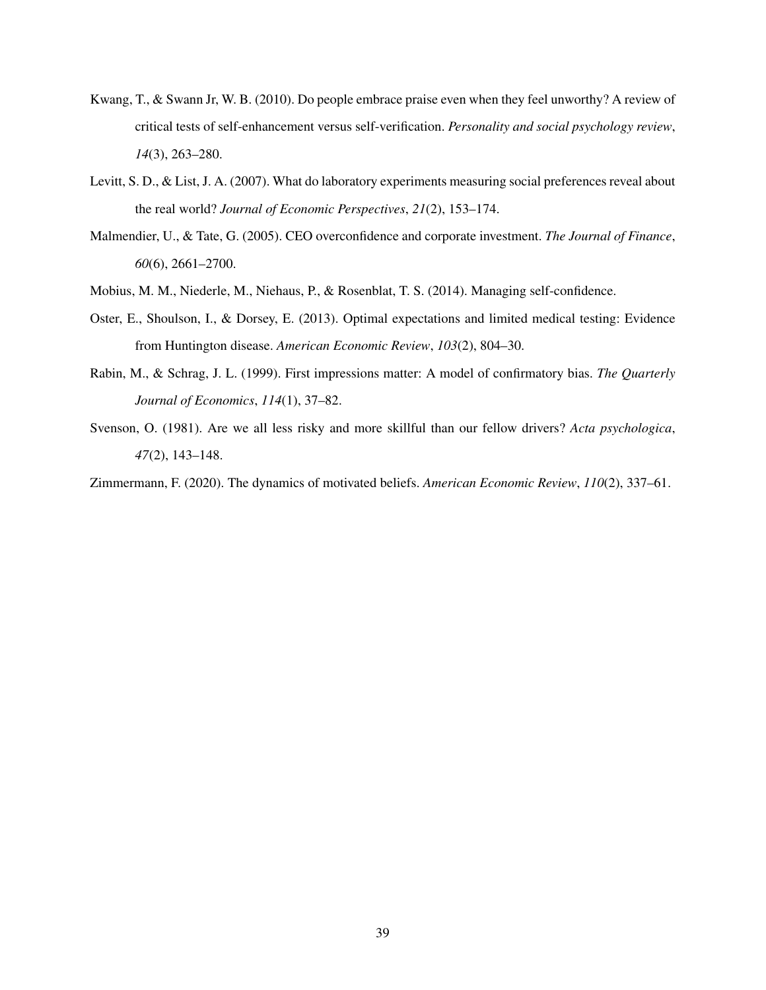- <span id="page-39-7"></span>Kwang, T., & Swann Jr, W. B. (2010). Do people embrace praise even when they feel unworthy? A review of critical tests of self-enhancement versus self-verification. *Personality and social psychology review*, *14*(3), 263–280.
- <span id="page-39-6"></span>Levitt, S. D., & List, J. A. (2007). What do laboratory experiments measuring social preferences reveal about the real world? *Journal of Economic Perspectives*, *21*(2), 153–174.
- <span id="page-39-1"></span>Malmendier, U., & Tate, G. (2005). CEO overconfidence and corporate investment. *The Journal of Finance*, *60*(6), 2661–2700.
- <span id="page-39-5"></span>Mobius, M. M., Niederle, M., Niehaus, P., & Rosenblat, T. S. (2014). Managing self-confidence.
- <span id="page-39-2"></span>Oster, E., Shoulson, I., & Dorsey, E. (2013). Optimal expectations and limited medical testing: Evidence from Huntington disease. *American Economic Review*, *103*(2), 804–30.
- <span id="page-39-3"></span>Rabin, M., & Schrag, J. L. (1999). First impressions matter: A model of confirmatory bias. *The Quarterly Journal of Economics*, *114*(1), 37–82.
- <span id="page-39-0"></span>Svenson, O. (1981). Are we all less risky and more skillful than our fellow drivers? *Acta psychologica*, *47*(2), 143–148.

<span id="page-39-4"></span>Zimmermann, F. (2020). The dynamics of motivated beliefs. *American Economic Review*, *110*(2), 337–61.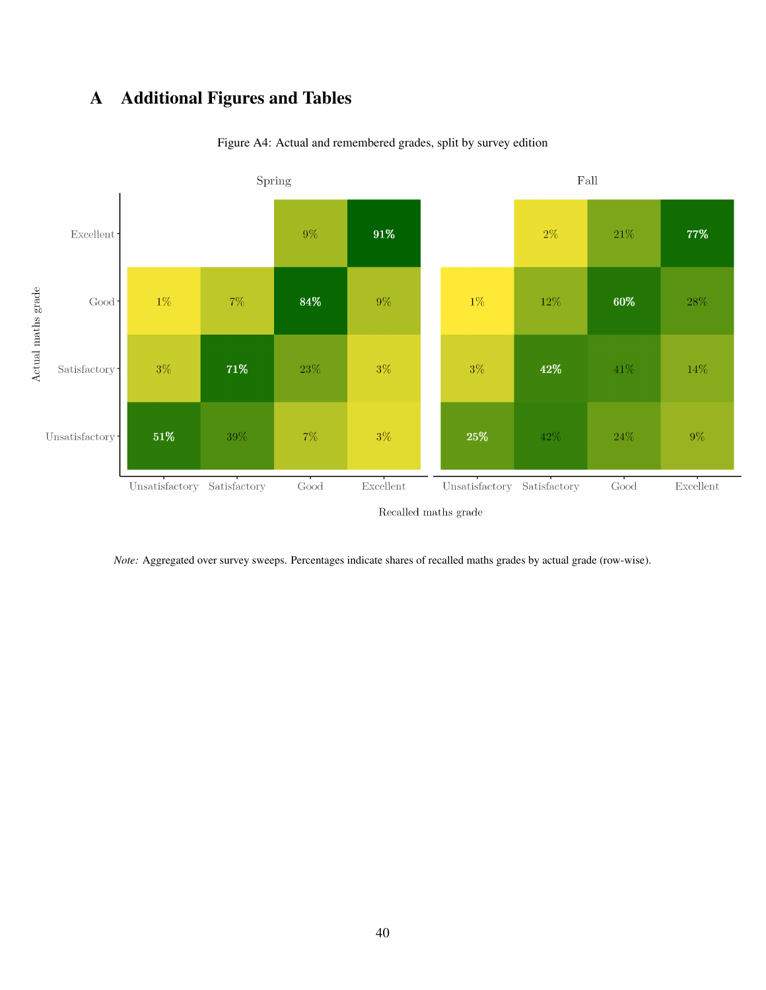# <span id="page-40-1"></span><span id="page-40-0"></span>A Additional Figures and Tables



Figure A4: Actual and remembered grades, split by survey edition

*Note:* Aggregated over survey sweeps. Percentages indicate shares of recalled maths grades by actual grade (row-wise).